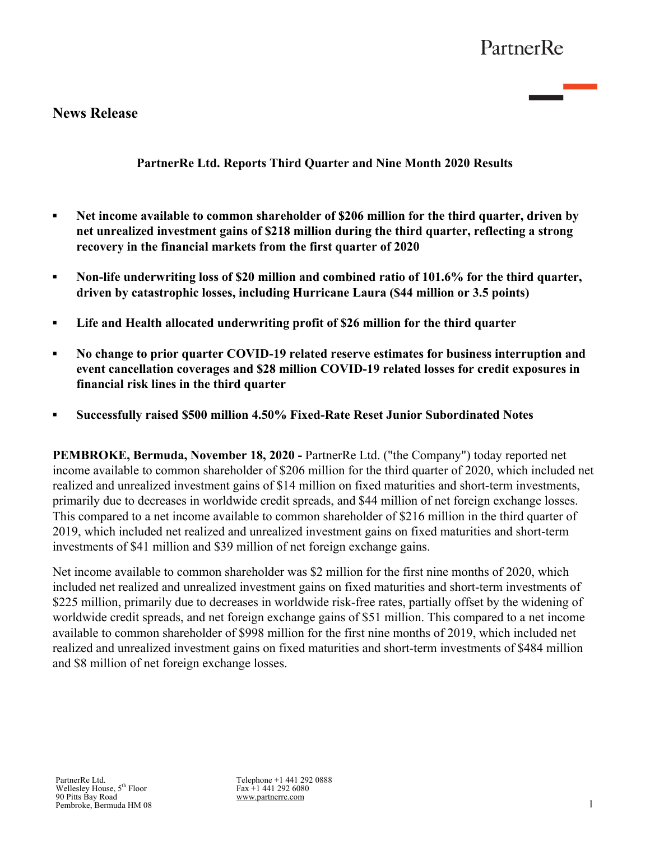# **News Release**

**PartnerRe Ltd. Reports Third Quarter and Nine Month 2020 Results**

- **EXECUTE:** Net income available to common shareholder of \$206 million for the third quarter, driven by **net unrealized investment gains of \$218 million during the third quarter, reflecting a strong recovery in the financial markets from the first quarter of 2020**
- **▪ Non-life underwriting loss of \$20 million and combined ratio of 101.6% for the third quarter, driven by catastrophic losses, including Hurricane Laura (\$44 million or 3.5 points)**
- **▪ Life and Health allocated underwriting profit of \$26 million for the third quarter**
- **▪ No change to prior quarter COVID-19 related reserve estimates for business interruption and event cancellation coverages and \$28 million COVID-19 related losses for credit exposures in financial risk lines in the third quarter**
- *▪* **Successfully raised \$500 million 4.50% Fixed-Rate Reset Junior Subordinated Notes**

**PEMBROKE, Bermuda, November 18, 2020 -** PartnerRe Ltd. ("the Company") today reported net income available to common shareholder of \$206 million for the third quarter of 2020, which included net realized and unrealized investment gains of \$14 million on fixed maturities and short-term investments, primarily due to decreases in worldwide credit spreads, and \$44 million of net foreign exchange losses. This compared to a net income available to common shareholder of \$216 million in the third quarter of 2019, which included net realized and unrealized investment gains on fixed maturities and short-term investments of \$41 million and \$39 million of net foreign exchange gains.

Net income available to common shareholder was \$2 million for the first nine months of 2020, which included net realized and unrealized investment gains on fixed maturities and short-term investments of \$225 million, primarily due to decreases in worldwide risk-free rates, partially offset by the widening of worldwide credit spreads, and net foreign exchange gains of \$51 million. This compared to a net income available to common shareholder of \$998 million for the first nine months of 2019, which included net realized and unrealized investment gains on fixed maturities and short-term investments of \$484 million and \$8 million of net foreign exchange losses.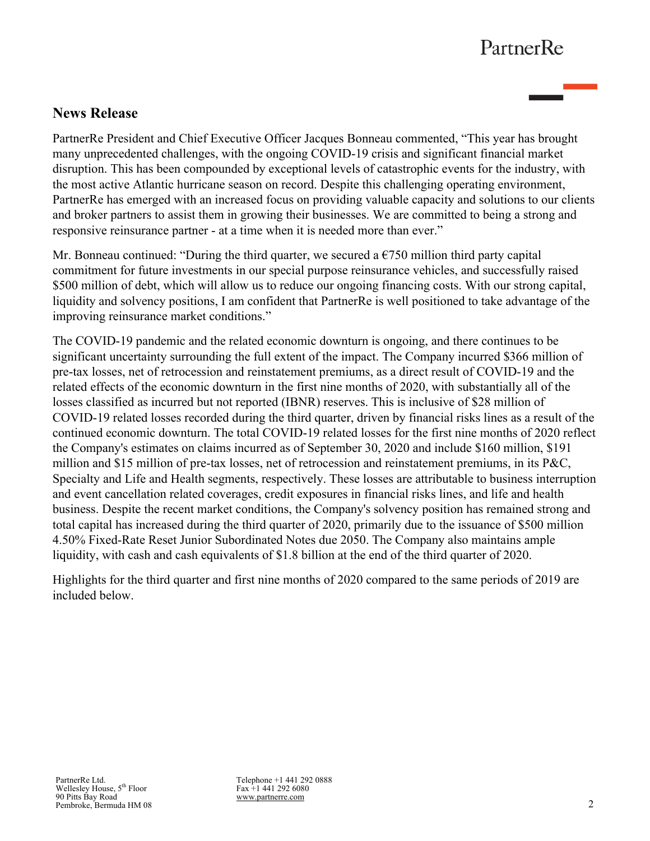# **News Release**

PartnerRe President and Chief Executive Officer Jacques Bonneau commented, "This year has brought many unprecedented challenges, with the ongoing COVID-19 crisis and significant financial market disruption. This has been compounded by exceptional levels of catastrophic events for the industry, with the most active Atlantic hurricane season on record. Despite this challenging operating environment, PartnerRe has emerged with an increased focus on providing valuable capacity and solutions to our clients and broker partners to assist them in growing their businesses. We are committed to being a strong and responsive reinsurance partner - at a time when it is needed more than ever."

Mr. Bonneau continued: "During the third quarter, we secured a  $\epsilon$ 750 million third party capital commitment for future investments in our special purpose reinsurance vehicles, and successfully raised \$500 million of debt, which will allow us to reduce our ongoing financing costs. With our strong capital, liquidity and solvency positions, I am confident that PartnerRe is well positioned to take advantage of the improving reinsurance market conditions."

The COVID-19 pandemic and the related economic downturn is ongoing, and there continues to be significant uncertainty surrounding the full extent of the impact. The Company incurred \$366 million of pre-tax losses, net of retrocession and reinstatement premiums, as a direct result of COVID-19 and the related effects of the economic downturn in the first nine months of 2020, with substantially all of the losses classified as incurred but not reported (IBNR) reserves. This is inclusive of \$28 million of COVID-19 related losses recorded during the third quarter, driven by financial risks lines as a result of the continued economic downturn. The total COVID-19 related losses for the first nine months of 2020 reflect the Company's estimates on claims incurred as of September 30, 2020 and include \$160 million, \$191 million and \$15 million of pre-tax losses, net of retrocession and reinstatement premiums, in its P&C, Specialty and Life and Health segments, respectively. These losses are attributable to business interruption and event cancellation related coverages, credit exposures in financial risks lines, and life and health business. Despite the recent market conditions, the Company's solvency position has remained strong and total capital has increased during the third quarter of 2020, primarily due to the issuance of \$500 million 4.50% Fixed-Rate Reset Junior Subordinated Notes due 2050. The Company also maintains ample liquidity, with cash and cash equivalents of \$1.8 billion at the end of the third quarter of 2020.

Highlights for the third quarter and first nine months of 2020 compared to the same periods of 2019 are included below.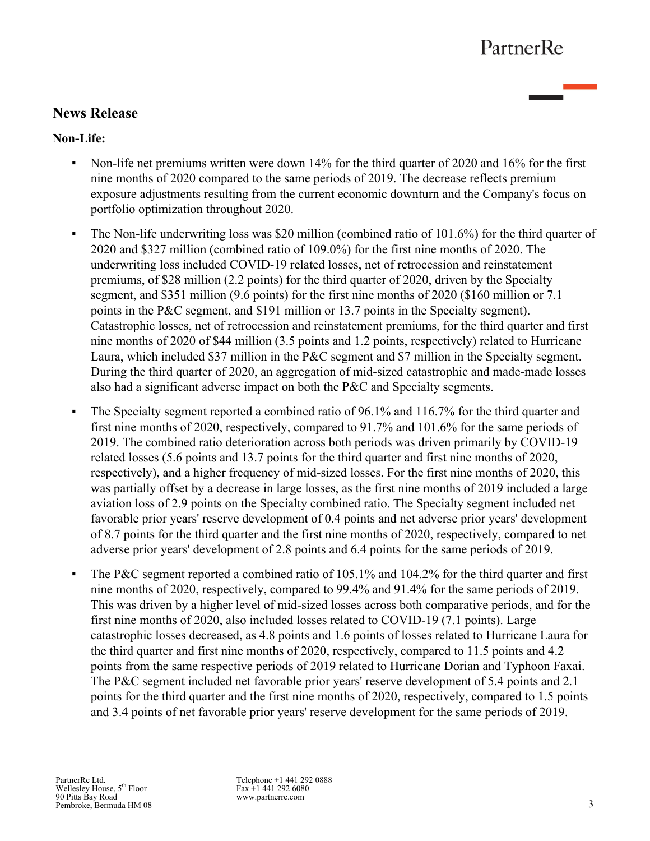# **News Release**

### **Non-Life:**

- Non-life net premiums written were down 14% for the third quarter of 2020 and 16% for the first nine months of 2020 compared to the same periods of 2019. The decrease reflects premium exposure adjustments resulting from the current economic downturn and the Company's focus on portfolio optimization throughout 2020.
- The Non-life underwriting loss was \$20 million (combined ratio of 101.6%) for the third quarter of 2020 and \$327 million (combined ratio of 109.0%) for the first nine months of 2020. The underwriting loss included COVID-19 related losses, net of retrocession and reinstatement premiums, of \$28 million (2.2 points) for the third quarter of 2020, driven by the Specialty segment, and \$351 million (9.6 points) for the first nine months of 2020 (\$160 million or 7.1 points in the P&C segment, and \$191 million or 13.7 points in the Specialty segment). Catastrophic losses, net of retrocession and reinstatement premiums, for the third quarter and first nine months of 2020 of \$44 million (3.5 points and 1.2 points, respectively) related to Hurricane Laura, which included \$37 million in the P&C segment and \$7 million in the Specialty segment. During the third quarter of 2020, an aggregation of mid-sized catastrophic and made-made losses also had a significant adverse impact on both the P&C and Specialty segments.
- The Specialty segment reported a combined ratio of 96.1% and 116.7% for the third quarter and first nine months of 2020, respectively, compared to 91.7% and 101.6% for the same periods of 2019. The combined ratio deterioration across both periods was driven primarily by COVID-19 related losses (5.6 points and 13.7 points for the third quarter and first nine months of 2020, respectively), and a higher frequency of mid-sized losses. For the first nine months of 2020, this was partially offset by a decrease in large losses, as the first nine months of 2019 included a large aviation loss of 2.9 points on the Specialty combined ratio. The Specialty segment included net favorable prior years' reserve development of 0.4 points and net adverse prior years' development of 8.7 points for the third quarter and the first nine months of 2020, respectively, compared to net adverse prior years' development of 2.8 points and 6.4 points for the same periods of 2019.
- The P&C segment reported a combined ratio of  $105.1\%$  and  $104.2\%$  for the third quarter and first nine months of 2020, respectively, compared to 99.4% and 91.4% for the same periods of 2019. This was driven by a higher level of mid-sized losses across both comparative periods, and for the first nine months of 2020, also included losses related to COVID-19 (7.1 points). Large catastrophic losses decreased, as 4.8 points and 1.6 points of losses related to Hurricane Laura for the third quarter and first nine months of 2020, respectively, compared to 11.5 points and 4.2 points from the same respective periods of 2019 related to Hurricane Dorian and Typhoon Faxai. The P&C segment included net favorable prior years' reserve development of 5.4 points and 2.1 points for the third quarter and the first nine months of 2020, respectively, compared to 1.5 points and 3.4 points of net favorable prior years' reserve development for the same periods of 2019.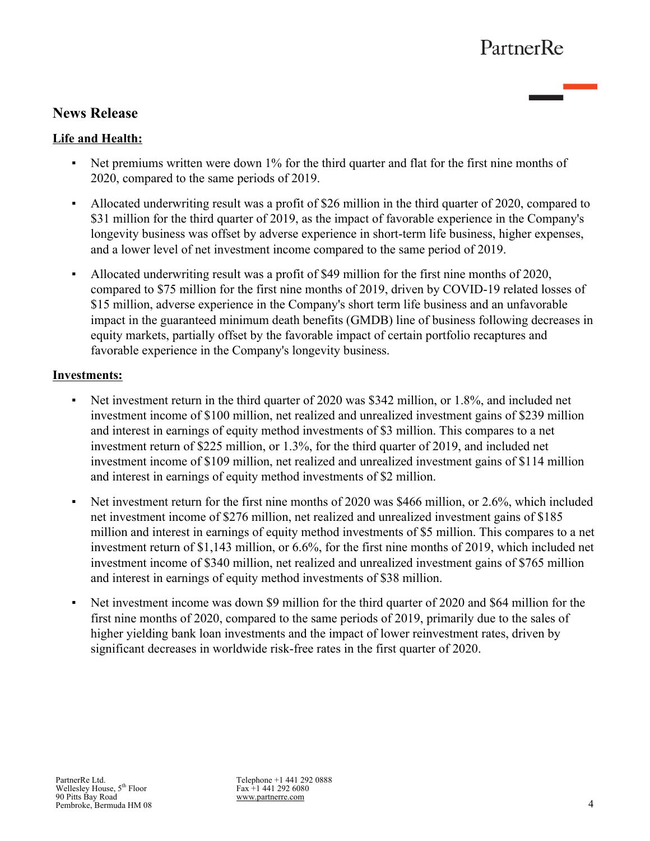# **News Release**

## **Life and Health:**

- Net premiums written were down 1% for the third quarter and flat for the first nine months of 2020, compared to the same periods of 2019.
- Allocated underwriting result was a profit of \$26 million in the third quarter of 2020, compared to \$31 million for the third quarter of 2019, as the impact of favorable experience in the Company's longevity business was offset by adverse experience in short-term life business, higher expenses, and a lower level of net investment income compared to the same period of 2019.
- Allocated underwriting result was a profit of \$49 million for the first nine months of 2020, compared to \$75 million for the first nine months of 2019, driven by COVID-19 related losses of \$15 million, adverse experience in the Company's short term life business and an unfavorable impact in the guaranteed minimum death benefits (GMDB) line of business following decreases in equity markets, partially offset by the favorable impact of certain portfolio recaptures and favorable experience in the Company's longevity business.

### **Investments:**

- Net investment return in the third quarter of 2020 was \$342 million, or 1.8%, and included net investment income of \$100 million, net realized and unrealized investment gains of \$239 million and interest in earnings of equity method investments of \$3 million. This compares to a net investment return of \$225 million, or 1.3%, for the third quarter of 2019, and included net investment income of \$109 million, net realized and unrealized investment gains of \$114 million and interest in earnings of equity method investments of \$2 million.
- Net investment return for the first nine months of 2020 was \$466 million, or 2.6%, which included net investment income of \$276 million, net realized and unrealized investment gains of \$185 million and interest in earnings of equity method investments of \$5 million. This compares to a net investment return of \$1,143 million, or 6.6%, for the first nine months of 2019, which included net investment income of \$340 million, net realized and unrealized investment gains of \$765 million and interest in earnings of equity method investments of \$38 million.
- Net investment income was down \$9 million for the third quarter of 2020 and \$64 million for the first nine months of 2020, compared to the same periods of 2019, primarily due to the sales of higher yielding bank loan investments and the impact of lower reinvestment rates, driven by significant decreases in worldwide risk-free rates in the first quarter of 2020.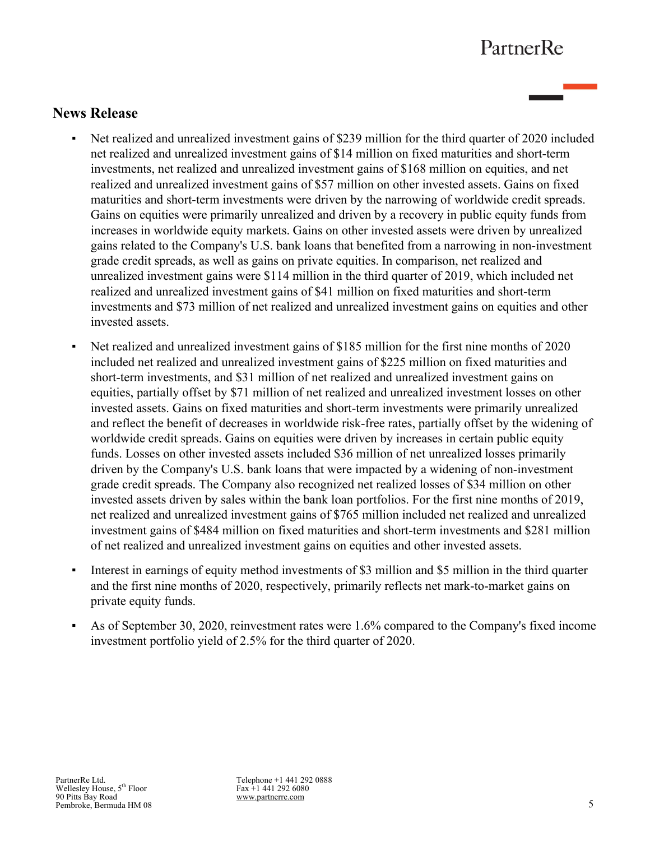# **News Release**

- Net realized and unrealized investment gains of \$239 million for the third quarter of 2020 included net realized and unrealized investment gains of \$14 million on fixed maturities and short-term investments, net realized and unrealized investment gains of \$168 million on equities, and net realized and unrealized investment gains of \$57 million on other invested assets. Gains on fixed maturities and short-term investments were driven by the narrowing of worldwide credit spreads. Gains on equities were primarily unrealized and driven by a recovery in public equity funds from increases in worldwide equity markets. Gains on other invested assets were driven by unrealized gains related to the Company's U.S. bank loans that benefited from a narrowing in non-investment grade credit spreads, as well as gains on private equities. In comparison, net realized and unrealized investment gains were \$114 million in the third quarter of 2019, which included net realized and unrealized investment gains of \$41 million on fixed maturities and short-term investments and \$73 million of net realized and unrealized investment gains on equities and other invested assets.
- Net realized and unrealized investment gains of \$185 million for the first nine months of 2020 included net realized and unrealized investment gains of \$225 million on fixed maturities and short-term investments, and \$31 million of net realized and unrealized investment gains on equities, partially offset by \$71 million of net realized and unrealized investment losses on other invested assets. Gains on fixed maturities and short-term investments were primarily unrealized and reflect the benefit of decreases in worldwide risk-free rates, partially offset by the widening of worldwide credit spreads. Gains on equities were driven by increases in certain public equity funds. Losses on other invested assets included \$36 million of net unrealized losses primarily driven by the Company's U.S. bank loans that were impacted by a widening of non-investment grade credit spreads. The Company also recognized net realized losses of \$34 million on other invested assets driven by sales within the bank loan portfolios. For the first nine months of 2019, net realized and unrealized investment gains of \$765 million included net realized and unrealized investment gains of \$484 million on fixed maturities and short-term investments and \$281 million of net realized and unrealized investment gains on equities and other invested assets.
- Interest in earnings of equity method investments of \$3 million and \$5 million in the third quarter and the first nine months of 2020, respectively, primarily reflects net mark-to-market gains on private equity funds.
- As of September 30, 2020, reinvestment rates were 1.6% compared to the Company's fixed income investment portfolio yield of 2.5% for the third quarter of 2020.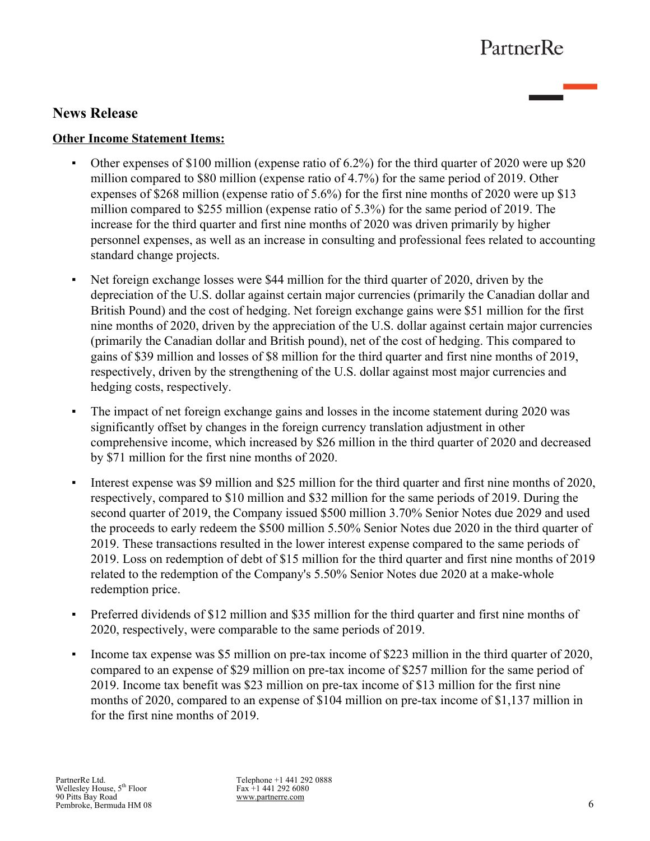# **News Release**

### **Other Income Statement Items:**

- Other expenses of \$100 million (expense ratio of 6.2%) for the third quarter of 2020 were up \$20 million compared to \$80 million (expense ratio of 4.7%) for the same period of 2019. Other expenses of \$268 million (expense ratio of 5.6%) for the first nine months of 2020 were up \$13 million compared to \$255 million (expense ratio of 5.3%) for the same period of 2019. The increase for the third quarter and first nine months of 2020 was driven primarily by higher personnel expenses, as well as an increase in consulting and professional fees related to accounting standard change projects.
- Net foreign exchange losses were \$44 million for the third quarter of 2020, driven by the depreciation of the U.S. dollar against certain major currencies (primarily the Canadian dollar and British Pound) and the cost of hedging. Net foreign exchange gains were \$51 million for the first nine months of 2020, driven by the appreciation of the U.S. dollar against certain major currencies (primarily the Canadian dollar and British pound), net of the cost of hedging. This compared to gains of \$39 million and losses of \$8 million for the third quarter and first nine months of 2019, respectively, driven by the strengthening of the U.S. dollar against most major currencies and hedging costs, respectively.
- The impact of net foreign exchange gains and losses in the income statement during 2020 was significantly offset by changes in the foreign currency translation adjustment in other comprehensive income, which increased by \$26 million in the third quarter of 2020 and decreased by \$71 million for the first nine months of 2020.
- Interest expense was \$9 million and \$25 million for the third quarter and first nine months of 2020, respectively, compared to \$10 million and \$32 million for the same periods of 2019. During the second quarter of 2019, the Company issued \$500 million 3.70% Senior Notes due 2029 and used the proceeds to early redeem the \$500 million 5.50% Senior Notes due 2020 in the third quarter of 2019. These transactions resulted in the lower interest expense compared to the same periods of 2019. Loss on redemption of debt of \$15 million for the third quarter and first nine months of 2019 related to the redemption of the Company's 5.50% Senior Notes due 2020 at a make-whole redemption price.
- Preferred dividends of \$12 million and \$35 million for the third quarter and first nine months of 2020, respectively, were comparable to the same periods of 2019.
- Income tax expense was \$5 million on pre-tax income of \$223 million in the third quarter of 2020, compared to an expense of \$29 million on pre-tax income of \$257 million for the same period of 2019. Income tax benefit was \$23 million on pre-tax income of \$13 million for the first nine months of 2020, compared to an expense of \$104 million on pre-tax income of \$1,137 million in for the first nine months of 2019.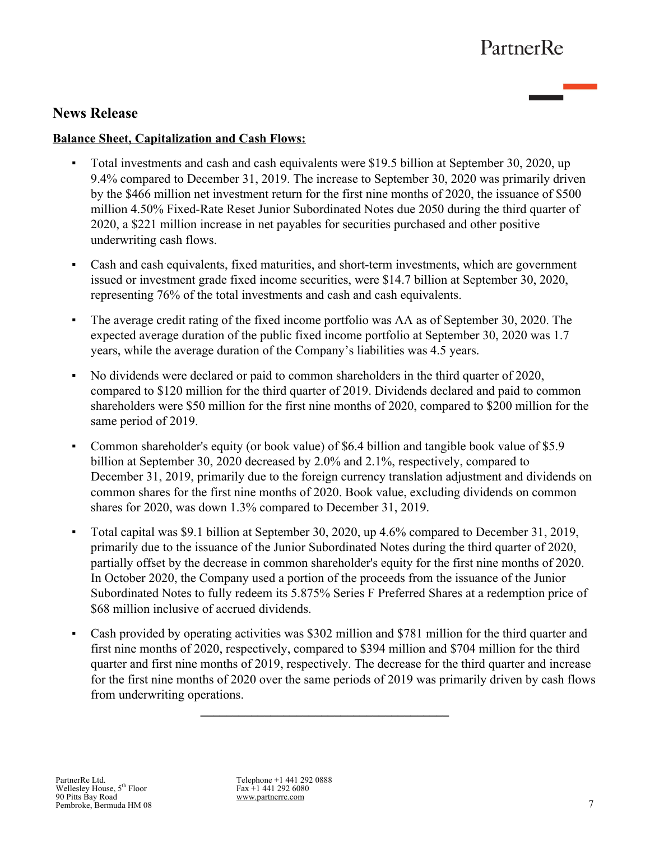# **News Release**

### **Balance Sheet, Capitalization and Cash Flows:**

- **•** Total investments and cash and cash equivalents were \$19.5 billion at September 30, 2020, up 9.4% compared to December 31, 2019. The increase to September 30, 2020 was primarily driven by the \$466 million net investment return for the first nine months of 2020, the issuance of \$500 million 4.50% Fixed-Rate Reset Junior Subordinated Notes due 2050 during the third quarter of 2020, a \$221 million increase in net payables for securities purchased and other positive underwriting cash flows.
- Cash and cash equivalents, fixed maturities, and short-term investments, which are government issued or investment grade fixed income securities, were \$14.7 billion at September 30, 2020, representing 76% of the total investments and cash and cash equivalents.
- The average credit rating of the fixed income portfolio was AA as of September 30, 2020. The expected average duration of the public fixed income portfolio at September 30, 2020 was 1.7 years, while the average duration of the Company's liabilities was 4.5 years.
- No dividends were declared or paid to common shareholders in the third quarter of 2020, compared to \$120 million for the third quarter of 2019. Dividends declared and paid to common shareholders were \$50 million for the first nine months of 2020, compared to \$200 million for the same period of 2019.
- Common shareholder's equity (or book value) of \$6.4 billion and tangible book value of \$5.9 billion at September 30, 2020 decreased by 2.0% and 2.1%, respectively, compared to December 31, 2019, primarily due to the foreign currency translation adjustment and dividends on common shares for the first nine months of 2020. Book value, excluding dividends on common shares for 2020, was down 1.3% compared to December 31, 2019.
- *▪* Total capital was \$9.1 billion at September 30, 2020, up 4.6% compared to December 31, 2019, primarily due to the issuance of the Junior Subordinated Notes during the third quarter of 2020, partially offset by the decrease in common shareholder's equity for the first nine months of 2020. In October 2020, the Company used a portion of the proceeds from the issuance of the Junior Subordinated Notes to fully redeem its 5.875% Series F Preferred Shares at a redemption price of \$68 million inclusive of accrued dividends.
- Cash provided by operating activities was \$302 million and \$781 million for the third quarter and first nine months of 2020, respectively, compared to \$394 million and \$704 million for the third quarter and first nine months of 2019, respectively. The decrease for the third quarter and increase for the first nine months of 2020 over the same periods of 2019 was primarily driven by cash flows from underwriting operations.

**\_\_\_\_\_\_\_\_\_\_\_\_\_\_\_\_\_\_\_\_\_\_\_\_\_\_\_\_\_\_\_\_\_\_\_\_\_\_\_**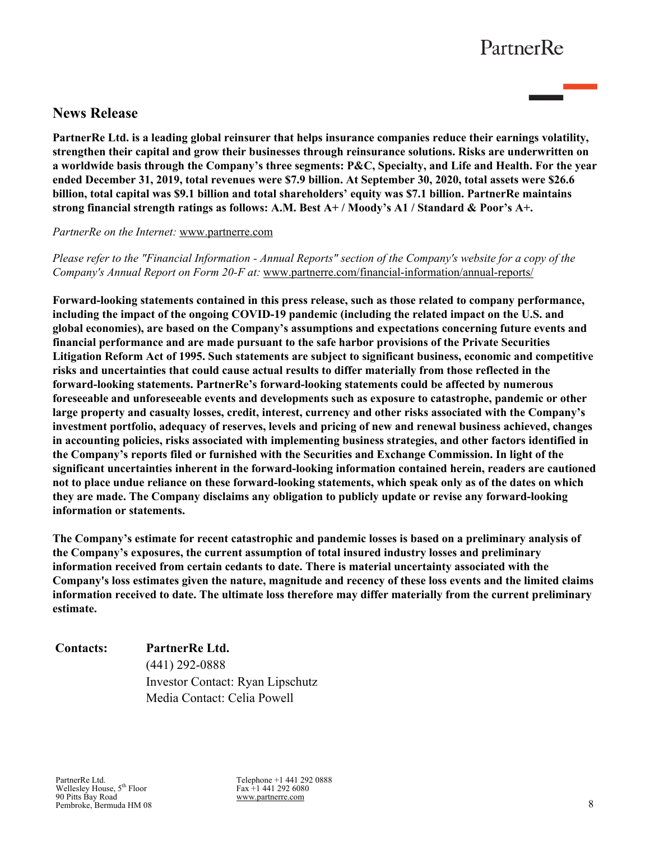# **News Release**

**PartnerRe Ltd. is a leading global reinsurer that helps insurance companies reduce their earnings volatility, strengthen their capital and grow their businesses through reinsurance solutions. Risks are underwritten on a worldwide basis through the Company's three segments: P&C, Specialty, and Life and Health. For the year ended December 31, 2019, total revenues were \$7.9 billion. At September 30, 2020, total assets were \$26.6 billion, total capital was \$9.1 billion and total shareholders' equity was \$7.1 billion. PartnerRe maintains strong financial strength ratings as follows: A.M. Best A+ / Moody's A1 / Standard & Poor's A+.** 

#### *PartnerRe on the Internet:* [www.partnerre.com](http://www.partnerre.com)

*Please refer to the "Financial Information - Annual Reports" section of the Company's website for a copy of the Company's Annual Report on Form 20-F at:* [www.partnerre.com/financial-information/annual-reports/](http://www.partnerre.com/financial-information/annual-reports/)

**Forward-looking statements contained in this press release, such as those related to company performance, including the impact of the ongoing COVID-19 pandemic (including the related impact on the U.S. and global economies), are based on the Company's assumptions and expectations concerning future events and financial performance and are made pursuant to the safe harbor provisions of the Private Securities Litigation Reform Act of 1995. Such statements are subject to significant business, economic and competitive risks and uncertainties that could cause actual results to differ materially from those reflected in the forward-looking statements. PartnerRe's forward-looking statements could be affected by numerous foreseeable and unforeseeable events and developments such as exposure to catastrophe, pandemic or other large property and casualty losses, credit, interest, currency and other risks associated with the Company's investment portfolio, adequacy of reserves, levels and pricing of new and renewal business achieved, changes in accounting policies, risks associated with implementing business strategies, and other factors identified in the Company's reports filed or furnished with the Securities and Exchange Commission. In light of the significant uncertainties inherent in the forward-looking information contained herein, readers are cautioned not to place undue reliance on these forward-looking statements, which speak only as of the dates on which they are made. The Company disclaims any obligation to publicly update or revise any forward-looking information or statements.** 

**The Company's estimate for recent catastrophic and pandemic losses is based on a preliminary analysis of the Company's exposures, the current assumption of total insured industry losses and preliminary information received from certain cedants to date. There is material uncertainty associated with the Company's loss estimates given the nature, magnitude and recency of these loss events and the limited claims information received to date. The ultimate loss therefore may differ materially from the current preliminary estimate.**

**Contacts: PartnerRe Ltd.**

(441) 292-0888 Investor Contact: Ryan Lipschutz Media Contact: Celia Powell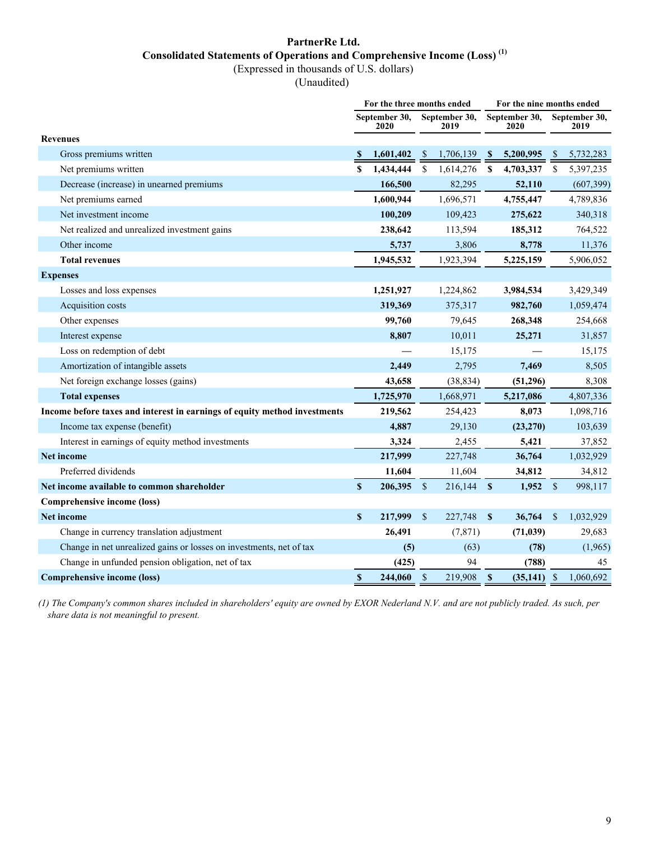# **PartnerRe Ltd. Consolidated Statements of Operations and Comprehensive Income (Loss) (1)**

(Expressed in thousands of U.S. dollars)

(Unaudited)

|                                                                           |              | For the three months ended |                    |                       |              |                       | For the nine months ended |                       |  |  |
|---------------------------------------------------------------------------|--------------|----------------------------|--------------------|-----------------------|--------------|-----------------------|---------------------------|-----------------------|--|--|
|                                                                           |              | September 30.<br>2020      |                    | September 30,<br>2019 |              | September 30,<br>2020 |                           | September 30,<br>2019 |  |  |
| <b>Revenues</b>                                                           |              |                            |                    |                       |              |                       |                           |                       |  |  |
| Gross premiums written                                                    |              | 1,601,402                  | <sup>\$</sup>      | 1,706,139             | <b>S</b>     | 5,200,995             | <sup>\$</sup>             | 5,732,283             |  |  |
| Net premiums written                                                      | \$           | 1,434,444                  | $\mathbb{S}$       | 1,614,276             | $\mathbf{s}$ | 4,703,337             | <sup>\$</sup>             | 5,397,235             |  |  |
| Decrease (increase) in unearned premiums                                  |              | 166,500                    |                    | 82,295                |              | 52,110                |                           | (607, 399)            |  |  |
| Net premiums earned                                                       |              | 1,600,944                  |                    | 1,696,571             |              | 4,755,447             |                           | 4,789,836             |  |  |
| Net investment income                                                     |              | 100,209                    |                    | 109,423               |              | 275,622               |                           | 340,318               |  |  |
| Net realized and unrealized investment gains                              |              | 238,642                    |                    | 113,594               |              | 185,312               |                           | 764,522               |  |  |
| Other income                                                              |              | 5,737                      |                    | 3,806                 |              | 8,778                 |                           | 11,376                |  |  |
| <b>Total revenues</b>                                                     |              | 1,945,532                  |                    | 1,923,394             |              | 5,225,159             |                           | 5,906,052             |  |  |
| <b>Expenses</b>                                                           |              |                            |                    |                       |              |                       |                           |                       |  |  |
| Losses and loss expenses                                                  |              | 1,251,927                  |                    | 1,224,862             |              | 3,984,534             |                           | 3,429,349             |  |  |
| Acquisition costs                                                         |              | 319,369                    |                    | 375,317               |              | 982,760               |                           | 1,059,474             |  |  |
| Other expenses                                                            |              | 99,760                     |                    | 79,645                |              | 268,348               |                           | 254,668               |  |  |
| Interest expense                                                          |              | 8,807                      |                    | 10,011                |              | 25,271                |                           | 31,857                |  |  |
| Loss on redemption of debt                                                |              |                            |                    | 15,175                |              |                       |                           | 15,175                |  |  |
| Amortization of intangible assets                                         |              | 2,449                      |                    | 2,795                 |              | 7,469                 |                           | 8,505                 |  |  |
| Net foreign exchange losses (gains)                                       |              | 43,658                     |                    | (38, 834)             |              | (51,296)              |                           | 8,308                 |  |  |
| <b>Total expenses</b>                                                     |              | 1,725,970                  |                    | 1,668,971             |              | 5,217,086             |                           | 4,807,336             |  |  |
| Income before taxes and interest in earnings of equity method investments |              | 219,562                    |                    | 254,423               |              | 8,073                 |                           | 1,098,716             |  |  |
| Income tax expense (benefit)                                              |              | 4,887                      |                    | 29,130                |              | (23,270)              |                           | 103,639               |  |  |
| Interest in earnings of equity method investments                         |              | 3,324                      |                    | 2,455                 |              | 5,421                 |                           | 37,852                |  |  |
| <b>Net income</b>                                                         |              | 217,999                    |                    | 227,748               |              | 36,764                |                           | 1,032,929             |  |  |
| Preferred dividends                                                       |              | 11,604                     |                    | 11,604                |              | 34,812                |                           | 34,812                |  |  |
| Net income available to common shareholder                                | $\mathbf{s}$ | 206,395                    | $\mathbf{\hat{s}}$ | 216,144               | $\mathbf{s}$ | 1,952                 | $\mathbf{s}$              | 998,117               |  |  |
| Comprehensive income (loss)                                               |              |                            |                    |                       |              |                       |                           |                       |  |  |
| <b>Net income</b>                                                         | $\mathbf S$  | 217,999                    | $\mathbb{S}$       | 227,748               | $\mathbf{s}$ | 36,764                | $\mathbb{S}$              | 1,032,929             |  |  |
| Change in currency translation adjustment                                 |              | 26,491                     |                    | (7, 871)              |              | (71, 039)             |                           | 29,683                |  |  |
| Change in net unrealized gains or losses on investments, net of tax       |              | (5)                        |                    | (63)                  |              | (78)                  |                           | (1,965)               |  |  |
| Change in unfunded pension obligation, net of tax                         |              | (425)                      |                    | 94                    |              | (788)                 |                           | 45                    |  |  |
| <b>Comprehensive income (loss)</b>                                        | $\mathbf S$  | 244,060                    | $\mathbf{s}$       | 219,908               | $\mathbf{s}$ | $(35,141)$ \$         |                           | 1.060.692             |  |  |

*(1) The Company's common shares included in shareholders' equity are owned by EXOR Nederland N.V. and are not publicly traded. As such, per share data is not meaningful to present.*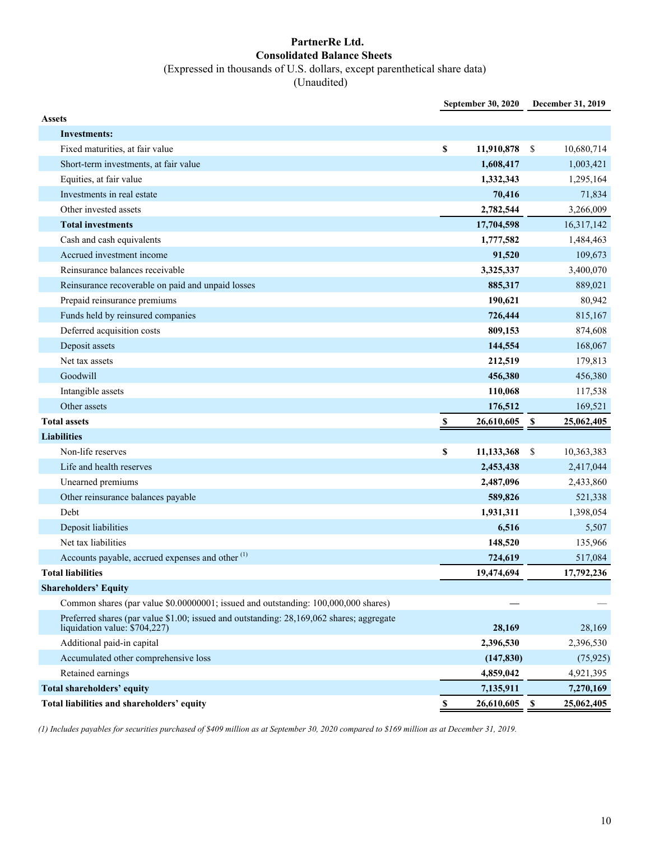#### **PartnerRe Ltd. Consolidated Balance Sheets** (Expressed in thousands of U.S. dollars, except parenthetical share data) (Unaudited)

**September 30, 2020 December 31, 2019 Assets Investments:** Fixed maturities, at fair value **\$ 11,910,878** \$ 10,680,714 Short-term investments, at fair value **1,608,417** 1,003,421 Equities, at fair value **1,332,343** 1,295,164 Investments in real estate **70,416** 71,834 Other invested assets **2,782,544** 3,266,009 **Total investments 17,704,598** 16,317,142 Cash and cash equivalents **1,777,582** 1,484,463 Accrued investment income **91,520** 109,673 Reinsurance balances receivable 3,325,337 3,400,070 Reinsurance recoverable on paid and unpaid losses **885,317** 889,021 Prepaid reinsurance premiums **190,621** 80,942 Funds held by reinsured companies **726,444** 815,167 Deferred acquisition costs **809,153** 874,608 Deposit assets **144,554** 168,067 Net tax assets **212,519** 179,813 Goodwill **456,380** 456,380 Intangible assets **110,068** 117,538 Other assets **176,512** 169,521 **Total assets \$ 26,610,605 \$ 25,062,405 Liabilities** Non-life reserves **8** 11,133,368 **\$** 10,363,383 Life and health reserves **2,453,438** 2,417,044 Unearned premiums **2,487,096** 2,433,860 Other reinsurance balances payable **589,826** 521,338 Debt **1,931,311** 1,398,054 Deposit liabilities **6,516** 5,507 Net tax liabilities **148,520** 135,966 Accounts payable, accrued expenses and other <sup>(1)</sup> **724,619 517,084 517,084 Total liabilities 19,474,694 17,792,236 Shareholders' Equity** Common shares (par value \$0.00000001; issued and outstanding: 100,000,000 shares) Preferred shares (par value \$1.00; issued and outstanding: 28,169,062 shares; aggregate liquidation value: \$704,227) **28,169** 28,169 Additional paid-in capital **2,396,530** 2,396,530 Accumulated other comprehensive loss **(147,830)** (75,925) Retained earnings **4,859,042** 4,921,395 **Total shareholders' equity 7,135,911 7,270,169**  7,270,169 *7,135,911* **7,270,169 Total liabilities and shareholders' equity \$ 26,610,605 \$ 25,062,405** 

*(1) Includes payables for securities purchased of \$409 million as at September 30, 2020 compared to \$169 million as at December 31, 2019.*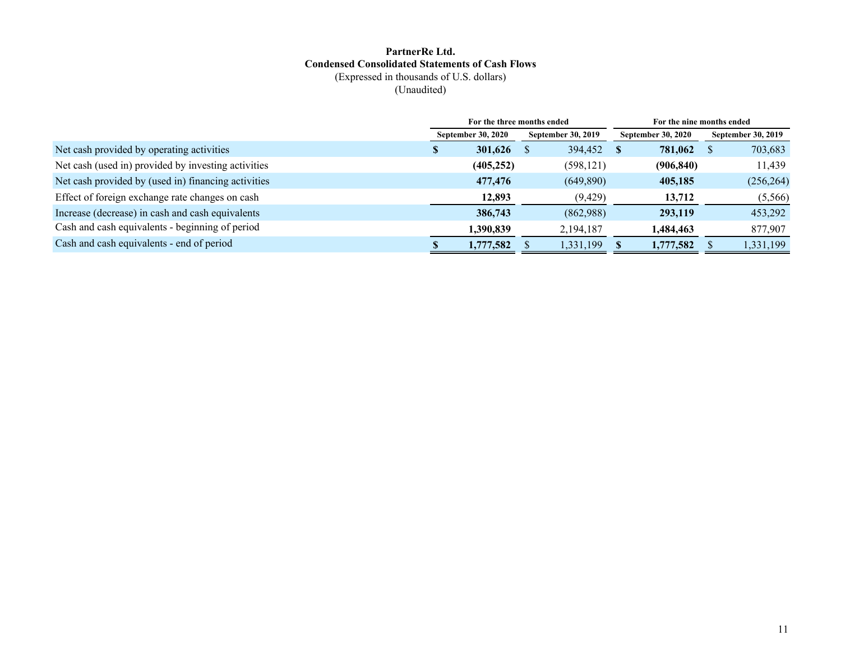#### **PartnerRe Ltd. Condensed Consolidated Statements of Cash Flows** (Expressed in thousands of U.S. dollars)

(Unaudited)

|                                                     |                                                        | For the three months ended |                           |                           | For the nine months ended |  |  |  |
|-----------------------------------------------------|--------------------------------------------------------|----------------------------|---------------------------|---------------------------|---------------------------|--|--|--|
|                                                     | <b>September 30, 2020</b><br><b>September 30, 2019</b> |                            | <b>September 30, 2020</b> | <b>September 30, 2019</b> |                           |  |  |  |
| Net cash provided by operating activities           | D                                                      | 301,626                    | 394,452                   | 781,062<br><b>S</b>       | 703,683<br>- 55           |  |  |  |
| Net cash (used in) provided by investing activities |                                                        | (405, 252)                 | (598, 121)                | (906, 840)                | 11,439                    |  |  |  |
| Net cash provided by (used in) financing activities |                                                        | 477,476                    | (649,890)                 | 405,185                   | (256, 264)                |  |  |  |
| Effect of foreign exchange rate changes on cash     |                                                        | 12,893                     | (9, 429)                  | 13,712                    | (5,566)                   |  |  |  |
| Increase (decrease) in cash and cash equivalents    |                                                        | 386,743                    | (862,988)                 | 293,119                   | 453,292                   |  |  |  |
| Cash and cash equivalents - beginning of period     |                                                        | 1,390,839                  | 2,194,187                 | 1,484,463                 | 877,907                   |  |  |  |
| Cash and cash equivalents - end of period           |                                                        | 1,777,582                  | 1,331,199                 | 1,777,582                 | 1,331,199                 |  |  |  |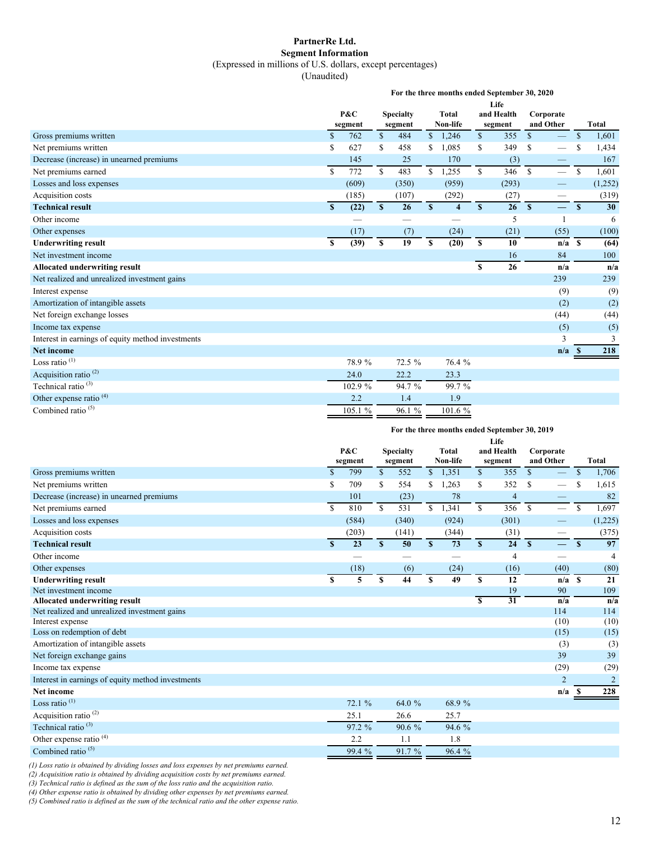#### **PartnerRe Ltd. Segment Information** (Expressed in millions of U.S. dollars, except percentages)

(Unaudited)

|                                                   | For the three months ended September 30, 2020 |         |                             |        |                   |                         |              |                       |                        |                          |               |              |  |
|---------------------------------------------------|-----------------------------------------------|---------|-----------------------------|--------|-------------------|-------------------------|--------------|-----------------------|------------------------|--------------------------|---------------|--------------|--|
|                                                   |                                               |         |                             |        |                   |                         |              | Life                  |                        |                          |               |              |  |
|                                                   | P&C<br>segment                                |         | <b>Specialty</b><br>segment |        | Total<br>Non-life |                         |              | and Health<br>segment | Corporate<br>and Other |                          |               | <b>Total</b> |  |
| Gross premiums written                            | $\mathbf{\$}$                                 | 762     | $\mathbb{S}$                | 484    | $\mathbb{S}$      | 1,246                   | $\mathbb{S}$ | 355                   | $\mathbb{S}$           |                          | $\mathcal{S}$ | 1,601        |  |
| Net premiums written                              | S                                             | 627     | S                           | 458    | \$                | 1,085                   | \$           | 349                   | S                      |                          | S             | 1,434        |  |
| Decrease (increase) in unearned premiums          |                                               | 145     |                             | 25     |                   | 170                     |              | (3)                   |                        |                          |               | 167          |  |
| Net premiums earned                               | $\mathbb{S}$                                  | 772     | \$                          | 483    | \$                | 1,255                   | \$           | 346                   | <sup>\$</sup>          | $\overline{\phantom{0}}$ | \$            | 1,601        |  |
| Losses and loss expenses                          |                                               | (609)   |                             | (350)  |                   | (959)                   |              | (293)                 |                        |                          |               | (1,252)      |  |
| Acquisition costs                                 |                                               | (185)   |                             | (107)  |                   | (292)                   |              | (27)                  |                        |                          |               | (319)        |  |
| <b>Technical result</b>                           | $\mathbf{s}$                                  | (22)    | $\mathbf{s}$                | 26     | S                 | $\overline{\mathbf{4}}$ | $\mathbf{s}$ | 26                    | S                      | $\qquad \qquad =$        | $\mathbf{s}$  | 30           |  |
| Other income                                      |                                               |         |                             |        |                   |                         |              | 5                     |                        | $\mathbf{1}$             |               | 6            |  |
| Other expenses                                    |                                               | (17)    |                             | (7)    |                   | (24)                    |              | (21)                  |                        | (55)                     |               | (100)        |  |
| <b>Underwriting result</b>                        | \$                                            | (39)    | \$                          | 19     | \$                | (20)                    | \$           | 10                    |                        | $n/a$ S                  |               | (64)         |  |
| Net investment income                             |                                               |         |                             |        |                   |                         |              | 16                    |                        | 84                       |               | 100          |  |
| Allocated underwriting result                     |                                               |         |                             |        |                   |                         | S            | 26                    |                        | n/a                      |               | n/a          |  |
| Net realized and unrealized investment gains      |                                               |         |                             |        |                   |                         |              |                       |                        | 239                      |               | 239          |  |
| Interest expense                                  |                                               |         |                             |        |                   |                         |              |                       |                        | (9)                      |               | (9)          |  |
| Amortization of intangible assets                 |                                               |         |                             |        |                   |                         |              |                       |                        | (2)                      |               | (2)          |  |
| Net foreign exchange losses                       |                                               |         |                             |        |                   |                         |              |                       |                        | (44)                     |               | (44)         |  |
| Income tax expense                                |                                               |         |                             |        |                   |                         |              |                       |                        | (5)                      |               | (5)          |  |
| Interest in earnings of equity method investments |                                               |         |                             |        |                   |                         |              |                       |                        | 3                        |               | 3            |  |
| <b>Net income</b>                                 |                                               |         |                             |        |                   |                         |              |                       |                        | n/a                      | -8            | 218          |  |
| Loss ratio $(1)$                                  |                                               | 78.9%   |                             | 72.5 % |                   | 76.4 %                  |              |                       |                        |                          |               |              |  |
| Acquisition ratio <sup>(2)</sup>                  |                                               | 24.0    |                             | 22.2   |                   | 23.3                    |              |                       |                        |                          |               |              |  |
| Technical ratio <sup>(3)</sup>                    |                                               | 102.9 % |                             | 94.7 % |                   | 99.7 %                  |              |                       |                        |                          |               |              |  |
| Other expense ratio <sup>(4)</sup>                |                                               | 2.2     |                             | 1.4    |                   | 1.9                     |              |                       |                        |                          |               |              |  |
| Combined ratio $(5)$                              |                                               | 105.1 % |                             | 96.1%  |                   | 101.6 %                 |              |                       |                        |                          |               |              |  |

#### **For the three months ended September 30, 2019**

|                                                   |                         |        | Life         |              |              |            |                         |                |               |                |               |                |
|---------------------------------------------------|-------------------------|--------|--------------|--------------|--------------|------------|-------------------------|----------------|---------------|----------------|---------------|----------------|
|                                                   | P&C<br><b>Specialty</b> |        |              | <b>Total</b> |              | and Health | Corporate               |                |               |                |               |                |
|                                                   | segment<br>segment      |        |              |              | Non-life     |            | segment                 | and Other      |               | <b>Total</b>   |               |                |
| Gross premiums written                            | $\mathbf S$             | 799    | \$           | 552          | $\mathbb{S}$ | 1,351      | $\mathbb{S}$            | 355            | $\mathbf{s}$  |                | $\mathcal{S}$ | 1,706          |
| Net premiums written                              | S                       | 709    | $\mathbf S$  | 554          | \$           | 1,263      | \$                      | 352            | <sup>\$</sup> |                |               | 1,615          |
| Decrease (increase) in unearned premiums          |                         | 101    |              | (23)         |              | 78         |                         | $\overline{4}$ |               |                |               | 82             |
| Net premiums earned                               | S                       | 810    | $\mathbb{S}$ | 531          | $\mathbb{S}$ | 1,341      | $\mathbb{S}$            | 356            | $\mathbf S$   |                | <sup>\$</sup> | 1,697          |
| Losses and loss expenses                          |                         | (584)  |              | (340)        |              | (924)      |                         | (301)          |               |                |               | (1,225)        |
| Acquisition costs                                 |                         | (203)  |              | (141)        |              | (344)      |                         | (31)           |               |                |               | (375)          |
| <b>Technical result</b>                           | S                       | 23     | $\mathbf{s}$ | 50           | S            | 73         | S                       | 24             | $\mathbf{s}$  | $=$            | $\mathbf{s}$  | 97             |
| Other income                                      |                         | --     |              |              |              |            |                         | $\overline{4}$ |               |                |               | 4              |
| Other expenses                                    |                         | (18)   |              | (6)          |              | (24)       |                         | (16)           |               | (40)           |               | (80)           |
| <b>Underwriting result</b>                        | $\mathbf{s}$            | 5      | \$           | 44           | S            | 49         | \$                      | 12             |               | $n/a$ \$       |               | 21             |
| Net investment income                             |                         |        |              |              |              |            |                         | 19             |               | 90             |               | 109            |
| <b>Allocated underwriting result</b>              |                         |        |              |              |              |            | $\overline{\mathbf{s}}$ | 31             |               | n/a            |               | n/a            |
| Net realized and unrealized investment gains      |                         |        |              |              |              |            |                         |                |               | 114            |               | 114            |
| Interest expense                                  |                         |        |              |              |              |            |                         |                |               | (10)           |               | (10)           |
| Loss on redemption of debt                        |                         |        |              |              |              |            |                         |                |               | (15)           |               | (15)           |
| Amortization of intangible assets                 |                         |        |              |              |              |            |                         |                |               | (3)            |               | (3)            |
| Net foreign exchange gains                        |                         |        |              |              |              |            |                         |                |               | 39             |               | 39             |
| Income tax expense                                |                         |        |              |              |              |            |                         |                |               | (29)           |               | (29)           |
| Interest in earnings of equity method investments |                         |        |              |              |              |            |                         |                |               | $\overline{2}$ |               | $\overline{2}$ |
| Net income                                        |                         |        |              |              |              |            |                         |                |               | n/a            | - S           | 228            |
| Loss ratio <sup>(1)</sup>                         |                         | 72.1 % |              | 64.0 %       |              | 68.9%      |                         |                |               |                |               |                |
| Acquisition ratio <sup>(2)</sup>                  |                         | 25.1   |              | 26.6         |              | 25.7       |                         |                |               |                |               |                |
| Technical ratio <sup>(3)</sup>                    |                         | 97.2 % |              | 90.6 %       |              | 94.6 %     |                         |                |               |                |               |                |
| Other expense ratio <sup>(4)</sup>                |                         | 2.2    |              | 1.1          |              | 1.8        |                         |                |               |                |               |                |
| Combined ratio <sup>(5)</sup>                     |                         | 99.4 % |              | 91.7 %       |              | 96.4 %     |                         |                |               |                |               |                |
|                                                   |                         |        |              |              |              |            |                         |                |               |                |               |                |

*(1) Loss ratio is obtained by dividing losses and loss expenses by net premiums earned.*

*(2) Acquisition ratio is obtained by dividing acquisition costs by net premiums earned.*

*(3) Technical ratio is defined as the sum of the loss ratio and the acquisition ratio.*

*(4) Other expense ratio is obtained by dividing other expenses by net premiums earned.*

*(5) Combined ratio is defined as the sum of the technical ratio and the other expense ratio.*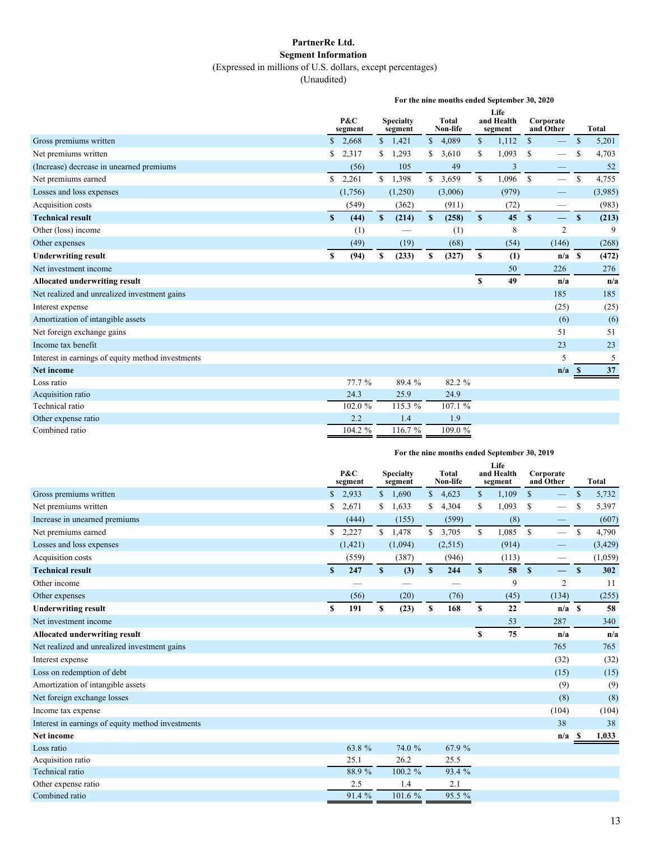#### **PartnerRe Ltd. Segment Information** (Expressed in millions of U.S. dollars, except percentages)

(Unaudited)

|                                                   | For the nine months ended September 30, 2020 |         |                             |         |              |                          |              |                               |                        |                          |              |              |
|---------------------------------------------------|----------------------------------------------|---------|-----------------------------|---------|--------------|--------------------------|--------------|-------------------------------|------------------------|--------------------------|--------------|--------------|
|                                                   | P&C<br>segment                               |         | <b>Specialty</b><br>segment |         |              | <b>Total</b><br>Non-life |              | Life<br>and Health<br>segment | Corporate<br>and Other |                          |              | <b>Total</b> |
| Gross premiums written                            | \$                                           | 2,668   |                             | \$1,421 | $\mathbb{S}$ | 4,089                    | \$           | 1,112                         | $\mathcal{S}$          |                          | $\mathbb{S}$ | 5,201        |
| Net premiums written                              | \$                                           | 2,317   | S.                          | 1,293   | S            | 3,610                    | \$           | 1,093                         | <sup>\$</sup>          |                          | S            | 4,703        |
| (Increase) decrease in unearned premiums          |                                              | (56)    |                             | 105     |              | 49                       |              | 3                             |                        |                          |              | 52           |
| Net premiums earned                               | \$                                           | 2,261   |                             | \$1,398 |              | \$3,659                  | \$           | 1,096                         | \$                     | $\overline{\phantom{0}}$ | \$           | 4,755        |
| Losses and loss expenses                          |                                              | (1,756) |                             | (1,250) |              | (3,006)                  |              | (979)                         |                        | —                        |              | (3,985)      |
| Acquisition costs                                 |                                              | (549)   |                             | (362)   |              | (911)                    |              | (72)                          |                        |                          |              | (983)        |
| <b>Technical result</b>                           | $\boldsymbol{\mathsf{s}}$                    | (44)    | $\mathbf{s}$                | (214)   | S            | (258)                    | $\mathbf{s}$ | 45                            | $\mathbf{s}$           | $\overline{\phantom{0}}$ | $\mathbf{s}$ | (213)        |
| Other (loss) income                               |                                              | (1)     |                             |         |              | (1)                      |              | 8                             |                        | $\overline{2}$           |              | 9            |
| Other expenses                                    |                                              | (49)    |                             | (19)    |              | (68)                     |              | (54)                          |                        | (146)                    |              | (268)        |
| <b>Underwriting result</b>                        | \$                                           | (94)    | \$                          | (233)   | \$           | (327)                    | \$           | (1)                           |                        | $n/a$ \$                 |              | (472)        |
| Net investment income                             |                                              |         |                             |         |              |                          |              | 50                            |                        | 226                      |              | 276          |
| <b>Allocated underwriting result</b>              |                                              |         |                             |         |              |                          | \$           | 49                            |                        | n/a                      |              | n/a          |
| Net realized and unrealized investment gains      |                                              |         |                             |         |              |                          |              |                               |                        | 185                      |              | 185          |
| Interest expense                                  |                                              |         |                             |         |              |                          |              |                               |                        | (25)                     |              | (25)         |
| Amortization of intangible assets                 |                                              |         |                             |         |              |                          |              |                               |                        | (6)                      |              | (6)          |
| Net foreign exchange gains                        |                                              |         |                             |         |              |                          |              |                               |                        | 51                       |              | 51           |
| Income tax benefit                                |                                              |         |                             |         |              |                          |              |                               |                        | 23                       |              | 23           |
| Interest in earnings of equity method investments |                                              |         |                             |         |              |                          |              |                               |                        | 5                        |              | 5            |
| <b>Net income</b>                                 |                                              |         |                             |         |              |                          |              |                               |                        | n/a                      |              | 37           |
| Loss ratio                                        |                                              | 77.7 %  |                             | 89.4 %  |              | 82.2 %                   |              |                               |                        |                          |              |              |
| Acquisition ratio                                 |                                              | 24.3    |                             | 25.9    |              | 24.9                     |              |                               |                        |                          |              |              |
| Technical ratio                                   |                                              | 102.0 % |                             | 115.3 % |              | 107.1 %                  |              |                               |                        |                          |              |              |
| Other expense ratio                               |                                              | 2.2     |                             | 1.4     |              | 1.9                      |              |                               |                        |                          |              |              |
| Combined ratio                                    |                                              | 104.2 % |                             | 116.7 % |              | 109.0%                   |              |                               |                        |                          |              |              |

| For the nine months ended September 30, 2019 |  |
|----------------------------------------------|--|
|----------------------------------------------|--|

|                                                   | P&C<br>segment |          | <b>Specialty</b><br>segment |         | <b>Total</b><br>Non-life |         |             | Life<br>and Health<br>segment |               | Corporate<br>and Other   |              | <b>Total</b> |
|---------------------------------------------------|----------------|----------|-----------------------------|---------|--------------------------|---------|-------------|-------------------------------|---------------|--------------------------|--------------|--------------|
| Gross premiums written                            | S              | 2,933    |                             | \$1,690 | $\mathbb{S}$             | 4,623   | \$          | 1,109                         | $\mathcal{S}$ |                          | $\mathbb{S}$ | 5,732        |
| Net premiums written                              | \$             | 2,671    | \$                          | 1,633   | \$                       | 4,304   | \$          | 1,093                         | \$            |                          | \$           | 5,397        |
| Increase in unearned premiums                     |                | (444)    |                             | (155)   |                          | (599)   |             | (8)                           |               |                          |              | (607)        |
| Net premiums earned                               | \$             | 2,227    |                             | \$1,478 | $\mathbb{S}$             | 3,705   | \$          | 1,085                         | $\mathbb{S}$  | $\overline{\phantom{0}}$ | \$           | 4,790        |
| Losses and loss expenses                          |                | (1, 421) |                             | (1,094) |                          | (2,515) |             | (914)                         |               |                          |              | (3, 429)     |
| Acquisition costs                                 |                | (559)    |                             | (387)   |                          | (946)   |             | (113)                         |               | —                        |              | (1,059)      |
| <b>Technical result</b>                           | S              | 247      | S                           | (3)     | $\mathbf{s}$             | 244     | S           | 58                            | $\mathbf{s}$  |                          | $\mathbf{s}$ | 302          |
| Other income                                      |                |          |                             |         |                          |         |             | 9                             |               | $\overline{c}$           |              | 11           |
| Other expenses                                    |                | (56)     |                             | (20)    |                          | (76)    |             | (45)                          |               | (134)                    |              | (255)        |
| <b>Underwriting result</b>                        | $\mathbf S$    | 191      | \$                          | (23)    | \$                       | 168     | S           | 22                            |               | $n/a$ S                  |              | 58           |
| Net investment income                             |                |          |                             |         |                          |         |             | 53                            |               | 287                      |              | 340          |
| <b>Allocated underwriting result</b>              |                |          |                             |         |                          |         | $\mathbf S$ | 75                            |               | n/a                      |              | n/a          |
| Net realized and unrealized investment gains      |                |          |                             |         |                          |         |             |                               |               | 765                      |              | 765          |
| Interest expense                                  |                |          |                             |         |                          |         |             |                               |               | (32)                     |              | (32)         |
| Loss on redemption of debt                        |                |          |                             |         |                          |         |             |                               |               | (15)                     |              | (15)         |
| Amortization of intangible assets                 |                |          |                             |         |                          |         |             |                               |               | (9)                      |              | (9)          |
| Net foreign exchange losses                       |                |          |                             |         |                          |         |             |                               |               | (8)                      |              | (8)          |
| Income tax expense                                |                |          |                             |         |                          |         |             |                               |               | (104)                    |              | (104)        |
| Interest in earnings of equity method investments |                |          |                             |         |                          |         |             |                               |               | 38                       |              | 38           |
| Net income                                        |                |          |                             |         |                          |         |             |                               |               | n/a                      | - \$         | 1,033        |
| Loss ratio                                        |                | 63.8 %   |                             | 74.0 %  |                          | 67.9 %  |             |                               |               |                          |              |              |
| Acquisition ratio                                 |                | 25.1     |                             | 26.2    |                          | 25.5    |             |                               |               |                          |              |              |
| Technical ratio                                   |                | 88.9%    |                             | 100.2 % |                          | 93.4 %  |             |                               |               |                          |              |              |
| Other expense ratio                               |                | 2.5      |                             | 1.4     |                          | 2.1     |             |                               |               |                          |              |              |
| Combined ratio                                    |                | 91.4 %   |                             | 101.6 % |                          | 95.5 %  |             |                               |               |                          |              |              |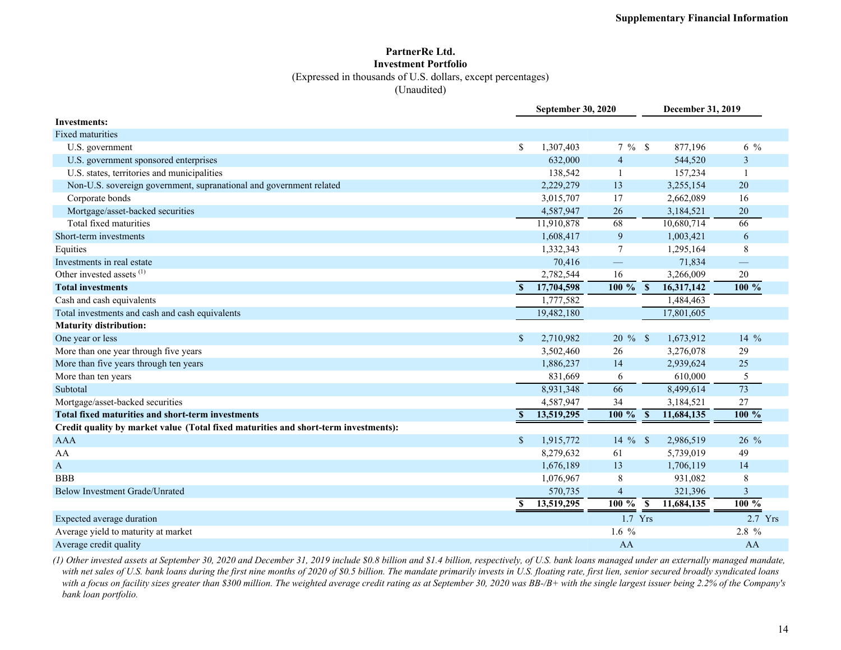## **PartnerRe Ltd. Investment Portfolio**

(Expressed in thousands of U.S. dollars, except percentages)

(Unaudited)

|                                                                                     |               | September 30, 2020 |                          |                         | December 31, 2019       |                   |
|-------------------------------------------------------------------------------------|---------------|--------------------|--------------------------|-------------------------|-------------------------|-------------------|
| <b>Investments:</b>                                                                 |               |                    |                          |                         |                         |                   |
| Fixed maturities                                                                    |               |                    |                          |                         |                         |                   |
| U.S. government                                                                     | \$            | 1,307,403          | $7 \%$ \$                |                         | 877,196                 | $6\frac{9}{6}$    |
| U.S. government sponsored enterprises                                               |               | 632,000            | $\overline{4}$           |                         | 544,520                 | 3                 |
| U.S. states, territories and municipalities                                         |               | 138,542            | $\overline{\phantom{0}}$ |                         | 157,234                 | $\mathbf{1}$      |
| Non-U.S. sovereign government, supranational and government related                 |               | 2,229,279          | 13                       |                         | 3,255,154               | 20                |
| Corporate bonds                                                                     |               | 3,015,707          | 17                       |                         | 2,662,089               | 16                |
| Mortgage/asset-backed securities                                                    |               | 4,587,947          | 26                       |                         | 3,184,521               | 20                |
| Total fixed maturities                                                              |               | 11,910,878         | 68                       |                         | 10,680,714              | 66                |
| Short-term investments                                                              |               | 1,608,417          | 9                        |                         | 1,003,421               | 6                 |
| Equities                                                                            |               | 1,332,343          | $\overline{7}$           |                         | 1,295,164               | 8                 |
| Investments in real estate                                                          |               | 70,416             | $\equiv$                 |                         | 71,834                  | $\qquad \qquad -$ |
| Other invested assets <sup>(1)</sup>                                                |               | 2,782,544          | 16                       |                         | 3,266,009               | $20\,$            |
| <b>Total investments</b>                                                            | S             | 17,704,598         | $100\%$                  | $\overline{\mathbf{s}}$ | 16,317,142              | 100%              |
| Cash and cash equivalents                                                           |               | 1,777,582          |                          |                         | 1,484,463               |                   |
| Total investments and cash and cash equivalents                                     |               | 19,482,180         |                          |                         | 17,801,605              |                   |
| <b>Maturity distribution:</b>                                                       |               |                    |                          |                         |                         |                   |
| One year or less                                                                    | <sup>\$</sup> | 2,710,982          | $20 \%$ \$               |                         | 1,673,912               | $14\%$            |
| More than one year through five years                                               |               | 3,502,460          | 26                       |                         | 3,276,078               | 29                |
| More than five years through ten years                                              |               | 1,886,237          | 14                       |                         | 2,939,624               | 25                |
| More than ten years                                                                 |               | 831,669            | 6                        |                         | 610,000                 | 5                 |
| Subtotal                                                                            |               | 8,931,348          | 66                       |                         | 8,499,614               | $\overline{73}$   |
| Mortgage/asset-backed securities                                                    |               | 4,587,947          | 34                       |                         | 3,184,521               | 27                |
| <b>Total fixed maturities and short-term investments</b>                            | $\mathbf{s}$  | 13,519,295         | $100 \%$                 | <sup>S</sup>            | 11,684,135              | 100 %             |
| Credit quality by market value (Total fixed maturities and short-term investments): |               |                    |                          |                         |                         |                   |
| <b>AAA</b>                                                                          | $\mathcal{S}$ | 1,915,772          | $14\%$                   | $\mathbf{\hat{S}}$      | 2,986,519               | 26 %              |
| AA                                                                                  |               | 8,279,632          | 61                       |                         | 5,739,019               | 49                |
| $\boldsymbol{\mathsf{A}}$                                                           |               | 1,676,189          | 13                       |                         | 1,706,119               | 14                |
| <b>BBB</b>                                                                          |               | 1,076,967          | 8                        |                         | 931,082                 | 8                 |
| <b>Below Investment Grade/Unrated</b>                                               |               | 570,735            | $\overline{4}$           |                         | 321,396                 | 3                 |
|                                                                                     | \$            | 13,519,295         | $100 \%$                 | $\mathbf{s}$            | $\overline{11,68}4,135$ | 100 %             |
| Expected average duration                                                           |               |                    | 1.7 Yrs                  |                         |                         | $2.7$ Yrs         |
| Average yield to maturity at market                                                 |               |                    | $1.6\%$                  |                         |                         | 2.8 %             |
| Average credit quality                                                              |               |                    | AA                       |                         |                         | AA                |

*(1) Other invested assets at September 30, 2020 and December 31, 2019 include \$0.8 billion and \$1.4 billion, respectively, of U.S. bank loans managed under an externally managed mandate, with net sales of U.S. bank loans during the first nine months of 2020 of \$0.5 billion. The mandate primarily invests in U.S. floating rate, first lien, senior secured broadly syndicated loans*  with a focus on facility sizes greater than \$300 million. The weighted average credit rating as at September 30, 2020 was BB-/B+ with the single largest issuer being 2.2% of the Company's *bank loan portfolio.*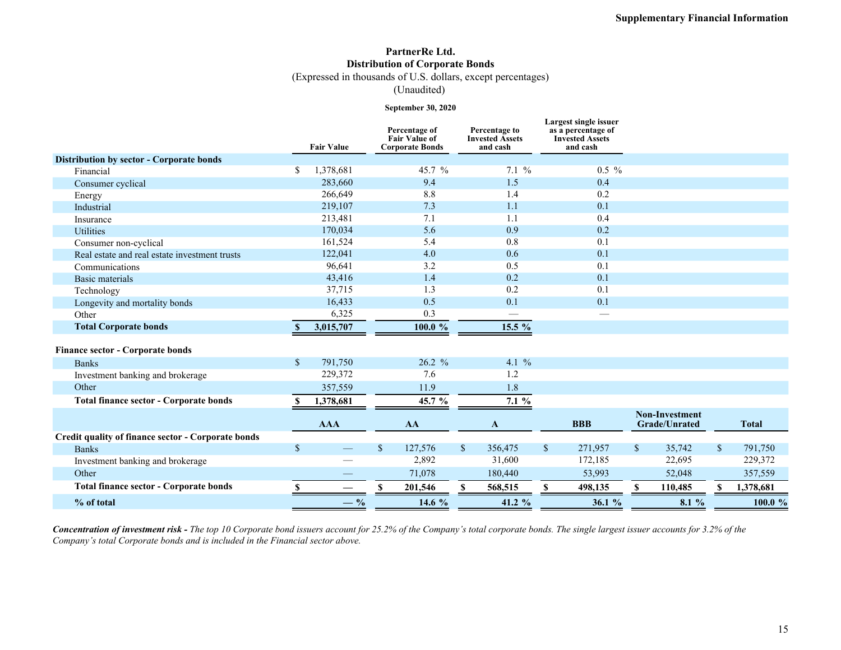### **PartnerRe Ltd. Distribution of Corporate Bonds**

(Expressed in thousands of U.S. dollars, except percentages)

(Unaudited)

#### **September 30, 2020**

|                                                    |              | <b>Fair Value</b> |              | Percentage of<br><b>Fair Value of</b><br><b>Corporate Bonds</b> |              | Percentage to<br><b>Invested Assets</b><br>and cash |              | Largest single issuer<br>as a percentage of<br><b>Invested Assets</b><br>and cash |              |                                               |              |              |
|----------------------------------------------------|--------------|-------------------|--------------|-----------------------------------------------------------------|--------------|-----------------------------------------------------|--------------|-----------------------------------------------------------------------------------|--------------|-----------------------------------------------|--------------|--------------|
| Distribution by sector - Corporate bonds           |              |                   |              |                                                                 |              |                                                     |              |                                                                                   |              |                                               |              |              |
| Financial                                          | \$           | 1,378,681         |              | 45.7 %                                                          |              | 7.1%                                                |              | $0.5\%$                                                                           |              |                                               |              |              |
| Consumer cyclical                                  |              | 283,660           |              | 9.4                                                             |              | 1.5                                                 |              | 0.4                                                                               |              |                                               |              |              |
| Energy                                             |              | 266,649           |              | 8.8                                                             |              | 1.4                                                 |              | 0.2                                                                               |              |                                               |              |              |
| Industrial                                         |              | 219,107           |              | 7.3                                                             |              | 1.1                                                 |              | 0.1                                                                               |              |                                               |              |              |
| Insurance                                          |              | 213,481           |              | 7.1                                                             |              | 1.1                                                 |              | 0.4                                                                               |              |                                               |              |              |
| <b>Utilities</b>                                   |              | 170,034           |              | 5.6                                                             |              | 0.9                                                 |              | 0.2                                                                               |              |                                               |              |              |
| Consumer non-cyclical                              |              | 161,524           |              | 5.4                                                             |              | 0.8                                                 |              | 0.1                                                                               |              |                                               |              |              |
| Real estate and real estate investment trusts      |              | 122,041           |              | 4.0                                                             |              | 0.6                                                 |              | 0.1                                                                               |              |                                               |              |              |
| Communications                                     |              | 96,641            |              | 3.2                                                             |              | 0.5                                                 |              | 0.1                                                                               |              |                                               |              |              |
| Basic materials                                    |              | 43,416            |              | 1.4                                                             |              | 0.2                                                 |              | 0.1                                                                               |              |                                               |              |              |
| Technology                                         |              | 37,715            |              | 1.3                                                             |              | 0.2                                                 |              | 0.1                                                                               |              |                                               |              |              |
| Longevity and mortality bonds                      |              | 16,433            |              | 0.5                                                             |              | 0.1                                                 |              | 0.1                                                                               |              |                                               |              |              |
| Other                                              |              | 6,325             |              | 0.3                                                             |              |                                                     |              |                                                                                   |              |                                               |              |              |
| <b>Total Corporate bonds</b>                       | <sup>S</sup> | 3,015,707         |              | $100.0 \%$                                                      |              | 15.5 %                                              |              |                                                                                   |              |                                               |              |              |
| <b>Finance sector - Corporate bonds</b>            |              |                   |              |                                                                 |              |                                                     |              |                                                                                   |              |                                               |              |              |
| <b>Banks</b>                                       | $\mathbb{S}$ | 791,750           |              | 26.2 %                                                          |              | 4.1 %                                               |              |                                                                                   |              |                                               |              |              |
| Investment banking and brokerage                   |              | 229,372           |              | 7.6                                                             |              | 1.2                                                 |              |                                                                                   |              |                                               |              |              |
| Other                                              |              | 357,559           |              | 11.9                                                            |              | 1.8                                                 |              |                                                                                   |              |                                               |              |              |
| <b>Total finance sector - Corporate bonds</b>      | <b>S</b>     | 1,378,681         |              | 45.7 %                                                          |              | 7.1%                                                |              |                                                                                   |              |                                               |              |              |
|                                                    |              | <b>AAA</b>        |              | AA                                                              |              | A                                                   |              | <b>BBB</b>                                                                        |              | <b>Non-Investment</b><br><b>Grade/Unrated</b> |              | <b>Total</b> |
| Credit quality of finance sector - Corporate bonds |              |                   |              |                                                                 |              |                                                     |              |                                                                                   |              |                                               |              |              |
| <b>Banks</b>                                       | $\sqrt{\ }$  |                   | $\mathbb{S}$ | 127,576                                                         | $\mathbb{S}$ | 356,475                                             | $\mathbb{S}$ | 271,957                                                                           | $\mathbb{S}$ | 35,742                                        | $\mathbb{S}$ | 791,750      |
| Investment banking and brokerage                   |              |                   |              | 2,892                                                           |              | 31,600                                              |              | 172,185                                                                           |              | 22,695                                        |              | 229,372      |
| Other                                              |              |                   |              | 71,078                                                          |              | 180,440                                             |              | 53,993                                                                            |              | 52,048                                        |              | 357,559      |
| <b>Total finance sector - Corporate bonds</b>      | <b>S</b>     |                   |              | 201,546                                                         | <b>S</b>     | 568,515                                             | $\mathbf S$  | 498,135                                                                           | \$.          | 110,485                                       |              | 1,378,681    |
| % of total                                         |              | $-$ %             |              | 14.6 %                                                          |              | 41.2 %                                              |              | 36.1%                                                                             |              | 8.1 %                                         |              | 100.0 %      |

*Concentration of investment risk - The top 10 Corporate bond issuers account for 25.2% of the Company's total corporate bonds. The single largest issuer accounts for 3.2% of the Company's total Corporate bonds and is included in the Financial sector above.*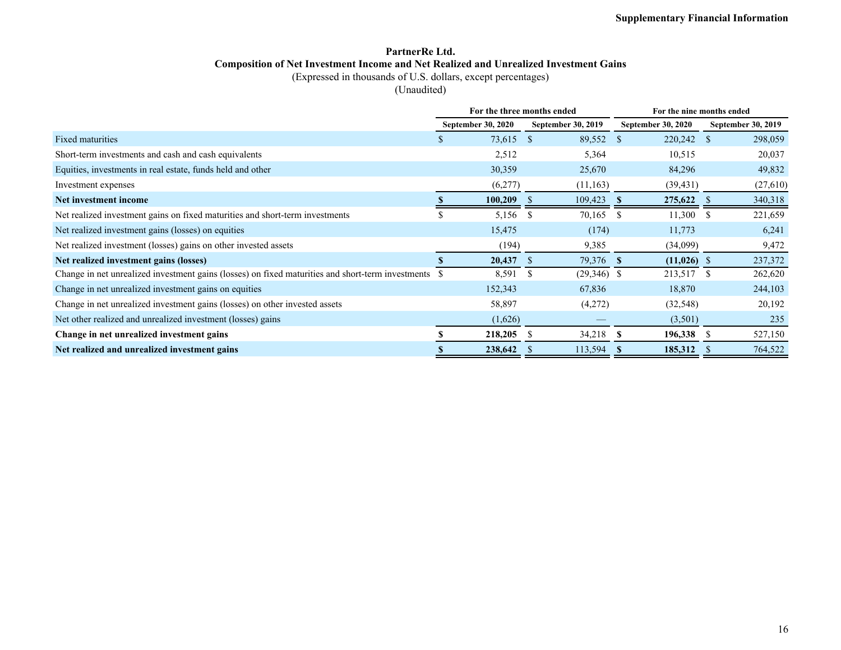### **PartnerRe Ltd. Composition of Net Investment Income and Net Realized and Unrealized Investment Gains**

(Expressed in thousands of U.S. dollars, except percentages)

(Unaudited)

|                                                                                                      |                           | For the three months ended |               |                    | For the nine months ended |  |                    |  |  |  |  |
|------------------------------------------------------------------------------------------------------|---------------------------|----------------------------|---------------|--------------------|---------------------------|--|--------------------|--|--|--|--|
|                                                                                                      | <b>September 30, 2020</b> |                            |               | September 30, 2019 | <b>September 30, 2020</b> |  | September 30, 2019 |  |  |  |  |
| Fixed maturities                                                                                     |                           | 73,615                     | <sup>\$</sup> | 89,552             | 220,242<br>-S             |  | 298,059<br>-S      |  |  |  |  |
| Short-term investments and cash and cash equivalents                                                 |                           | 2,512                      |               | 5,364              | 10,515                    |  | 20,037             |  |  |  |  |
| Equities, investments in real estate, funds held and other                                           |                           | 30,359                     |               | 25,670             | 84,296                    |  | 49,832             |  |  |  |  |
| Investment expenses                                                                                  |                           | (6,277)                    |               | (11, 163)          | (39, 431)                 |  | (27,610)           |  |  |  |  |
| Net investment income                                                                                |                           | 100,209                    | - 5           | 109,423            | 275,622<br>-S             |  | 340,318<br>- \$    |  |  |  |  |
| Net realized investment gains on fixed maturities and short-term investments                         |                           | 5,156                      | \$            | 70,165             | 11,300<br>-S              |  | 221,659<br>-S      |  |  |  |  |
| Net realized investment gains (losses) on equities                                                   |                           | 15,475                     |               | (174)              | 11,773                    |  | 6,241              |  |  |  |  |
| Net realized investment (losses) gains on other invested assets                                      |                           | (194)                      |               | 9,385              | (34,099)                  |  | 9,472              |  |  |  |  |
| Net realized investment gains (losses)                                                               |                           | 20,437                     | -8            | 79,376 \$          | $(11,026)$ \$             |  | 237,372            |  |  |  |  |
| Change in net unrealized investment gains (losses) on fixed maturities and short-term investments \$ |                           | 8,591                      | \$            | $(29,346)$ \$      | 213,517                   |  | 262,620<br>-S      |  |  |  |  |
| Change in net unrealized investment gains on equities                                                |                           | 152,343                    |               | 67,836             | 18,870                    |  | 244,103            |  |  |  |  |
| Change in net unrealized investment gains (losses) on other invested assets                          |                           | 58,897                     |               | (4,272)            | (32, 548)                 |  | 20,192             |  |  |  |  |
| Net other realized and unrealized investment (losses) gains                                          |                           | (1,626)                    |               |                    | (3,501)                   |  | 235                |  |  |  |  |
| Change in net unrealized investment gains                                                            |                           | 218,205                    | S             | 34,218             | 196,338<br>-S             |  | 527,150<br>-S      |  |  |  |  |
| Net realized and unrealized investment gains                                                         |                           | 238,642                    |               | 113,594            | 185,312<br>-S             |  | 764,522            |  |  |  |  |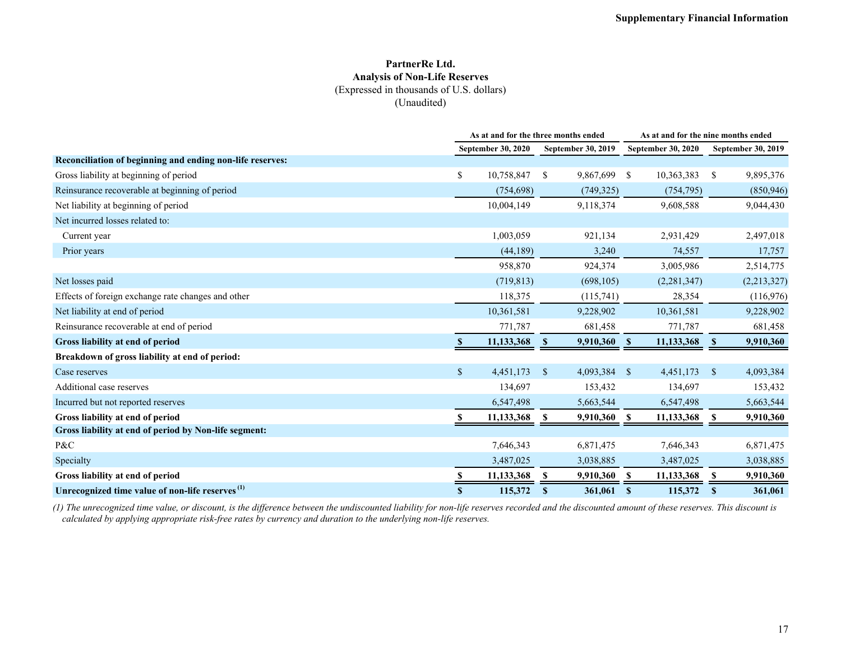#### **PartnerRe Ltd. Analysis of Non-Life Reserves** (Expressed in thousands of U.S. dollars) (Unaudited)

|                                                             |              | As at and for the three months ended |                           |                    |                           | As at and for the nine months ended |               |                           |  |  |
|-------------------------------------------------------------|--------------|--------------------------------------|---------------------------|--------------------|---------------------------|-------------------------------------|---------------|---------------------------|--|--|
|                                                             |              | September 30, 2020                   |                           | September 30, 2019 | <b>September 30, 2020</b> |                                     |               | <b>September 30, 2019</b> |  |  |
| Reconciliation of beginning and ending non-life reserves:   |              |                                      |                           |                    |                           |                                     |               |                           |  |  |
| Gross liability at beginning of period                      | \$           | 10,758,847                           | <sup>\$</sup>             | 9,867,699          | <sup>\$</sup>             | 10,363,383                          | <sup>\$</sup> | 9,895,376                 |  |  |
| Reinsurance recoverable at beginning of period              |              | (754, 698)                           |                           | (749, 325)         |                           | (754, 795)                          |               | (850, 946)                |  |  |
| Net liability at beginning of period                        |              | 10,004,149                           |                           | 9,118,374          |                           | 9,608,588                           |               | 9,044,430                 |  |  |
| Net incurred losses related to:                             |              |                                      |                           |                    |                           |                                     |               |                           |  |  |
| Current year                                                |              | 1,003,059                            |                           | 921,134            |                           | 2,931,429                           |               | 2,497,018                 |  |  |
| Prior years                                                 |              | (44, 189)                            |                           | 3,240              |                           | 74,557                              |               | 17,757                    |  |  |
|                                                             |              | 958,870                              |                           | 924,374            |                           | 3,005,986                           |               | 2,514,775                 |  |  |
| Net losses paid                                             |              | (719, 813)                           |                           | (698, 105)         |                           | (2,281,347)                         |               | (2,213,327)               |  |  |
| Effects of foreign exchange rate changes and other          |              | 118,375                              |                           | (115,741)          |                           | 28,354                              |               | (116,976)                 |  |  |
| Net liability at end of period                              |              | 10,361,581                           |                           | 9,228,902          |                           | 10,361,581                          |               | 9,228,902                 |  |  |
| Reinsurance recoverable at end of period                    |              | 771,787                              |                           | 681,458            |                           | 771,787                             |               | 681,458                   |  |  |
| Gross liability at end of period                            |              | 11,133,368                           | $\boldsymbol{\mathsf{s}}$ | 9,910,360          | $\mathbf{s}$              | 11,133,368                          | $\mathbf{s}$  | 9,910,360                 |  |  |
| Breakdown of gross liability at end of period:              |              |                                      |                           |                    |                           |                                     |               |                           |  |  |
| Case reserves                                               | $\mathbb{S}$ | 4,451,173                            | $\mathbb{S}$              | 4,093,384          | <sup>S</sup>              | 4,451,173                           | $\mathbf{\$}$ | 4,093,384                 |  |  |
| Additional case reserves                                    |              | 134,697                              |                           | 153,432            |                           | 134,697                             |               | 153,432                   |  |  |
| Incurred but not reported reserves                          |              | 6,547,498                            |                           | 5,663,544          |                           | 6,547,498                           |               | 5,663,544                 |  |  |
| Gross liability at end of period                            |              | 11,133,368                           | S                         | 9,910,360 \$       |                           | 11,133,368                          | -S            | 9,910,360                 |  |  |
| Gross liability at end of period by Non-life segment:       |              |                                      |                           |                    |                           |                                     |               |                           |  |  |
| P&C                                                         |              | 7,646,343                            |                           | 6,871,475          |                           | 7,646,343                           |               | 6,871,475                 |  |  |
| Specialty                                                   |              | 3,487,025                            |                           | 3,038,885          |                           | 3,487,025                           |               | 3,038,885                 |  |  |
| Gross liability at end of period                            |              | 11,133,368                           | S                         | 9,910,360          | -S                        | 11,133,368                          | S             | 9,910,360                 |  |  |
| Unrecognized time value of non-life reserves <sup>(1)</sup> | $\mathbf{s}$ | 115,372                              | S                         | 361,061            | <sup>S</sup>              | 115,372                             | S             | 361,061                   |  |  |

*(1) The unrecognized time value, or discount, is the difference between the undiscounted liability for non-life reserves recorded and the discounted amount of these reserves. This discount is calculated by applying appropriate risk-free rates by currency and duration to the underlying non-life reserves.*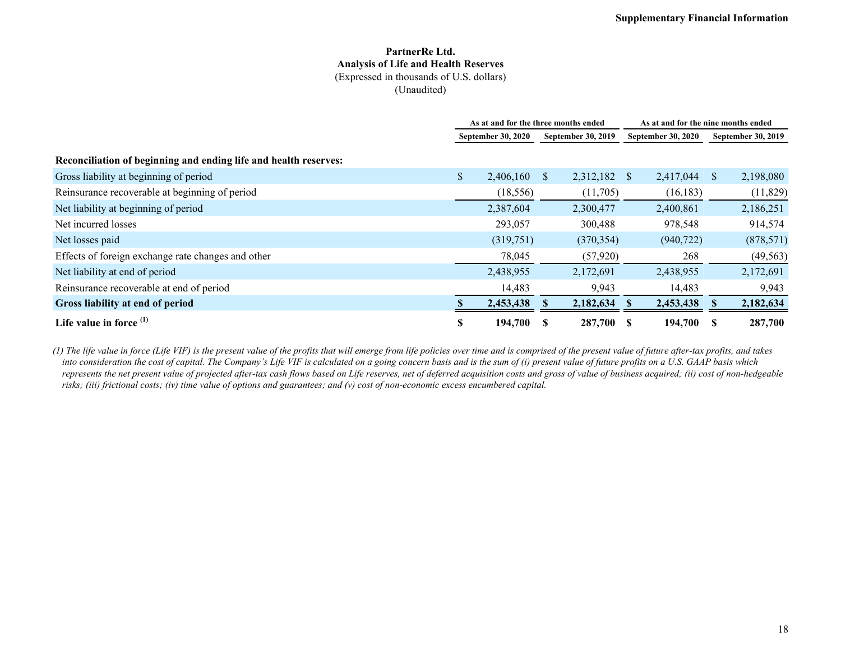#### **PartnerRe Ltd. Analysis of Life and Health Reserves** (Expressed in thousands of U.S. dollars) (Unaudited)

|                                                                  | As at and for the three months ended |           |    |                    |    | As at and for the nine months ended |              |                    |  |  |
|------------------------------------------------------------------|--------------------------------------|-----------|----|--------------------|----|-------------------------------------|--------------|--------------------|--|--|
|                                                                  | <b>September 30, 2020</b>            |           |    | September 30, 2019 |    | <b>September 30, 2020</b>           |              | September 30, 2019 |  |  |
| Reconciliation of beginning and ending life and health reserves: |                                      |           |    |                    |    |                                     |              |                    |  |  |
| Gross liability at beginning of period                           | \$                                   | 2,406,160 | S. | 2,312,182          | -S | 2,417,044                           | <sup>S</sup> | 2,198,080          |  |  |
| Reinsurance recoverable at beginning of period                   |                                      | (18, 556) |    | (11,705)           |    | (16, 183)                           |              | (11,829)           |  |  |
| Net liability at beginning of period                             |                                      | 2,387,604 |    | 2,300,477          |    | 2,400,861                           |              | 2,186,251          |  |  |
| Net incurred losses                                              |                                      | 293,057   |    | 300,488            |    | 978,548                             |              | 914,574            |  |  |
| Net losses paid                                                  |                                      | (319,751) |    | (370, 354)         |    | (940, 722)                          |              | (878, 571)         |  |  |
| Effects of foreign exchange rate changes and other               |                                      | 78,045    |    | (57,920)           |    | 268                                 |              | (49, 563)          |  |  |
| Net liability at end of period                                   |                                      | 2,438,955 |    | 2,172,691          |    | 2,438,955                           |              | 2,172,691          |  |  |
| Reinsurance recoverable at end of period                         |                                      | 14,483    |    | 9,943              |    | 14,483                              |              | 9,943              |  |  |
| Gross liability at end of period                                 |                                      | 2,453,438 |    | 2,182,634          |    | 2,453,438                           |              | 2,182,634          |  |  |
| Life value in force $(1)$                                        | \$                                   | 194,700   |    | 287,700 \$         |    | 194,700                             |              | 287,700            |  |  |

*(1) The life value in force (Life VIF) is the present value of the profits that will emerge from life policies over time and is comprised of the present value of future after-tax profits, and takes into consideration the cost of capital. The Company's Life VIF is calculated on a going concern basis and is the sum of (i) present value of future profits on a U.S. GAAP basis which represents the net present value of projected after-tax cash flows based on Life reserves, net of deferred acquisition costs and gross of value of business acquired; (ii) cost of non-hedgeable risks; (iii) frictional costs; (iv) time value of options and guarantees; and (v) cost of non-economic excess encumbered capital.*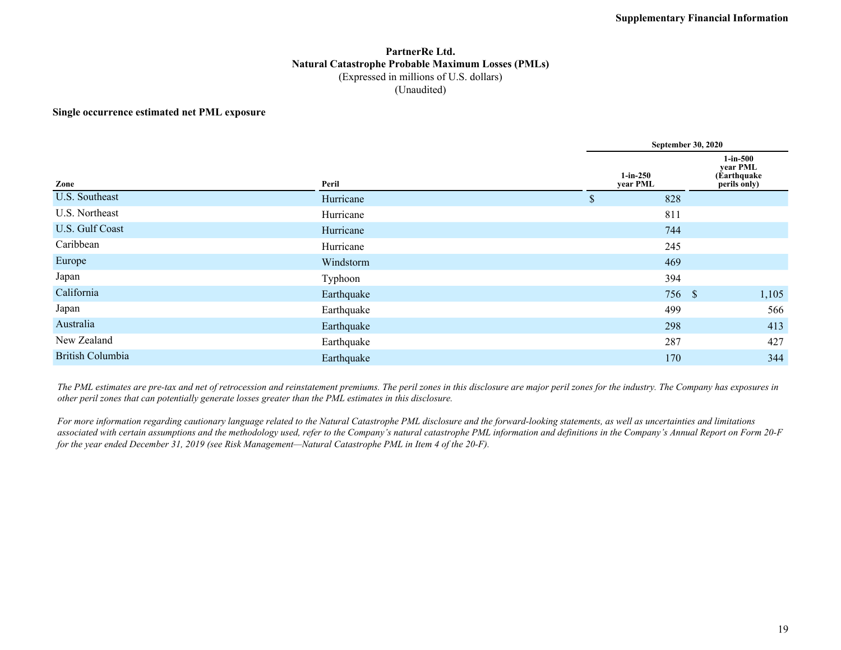#### **PartnerRe Ltd. Natural Catastrophe Probable Maximum Losses (PMLs)** (Expressed in millions of U.S. dollars) (Unaudited)

#### **Single occurrence estimated net PML exposure**

|                         |            | <b>September 30, 2020</b> |                                                       |  |  |  |  |  |  |
|-------------------------|------------|---------------------------|-------------------------------------------------------|--|--|--|--|--|--|
| Zone                    | Peril      | $1-in-250$<br>year PML    | $1-in-500$<br>year PML<br>(Earthquake<br>perils only) |  |  |  |  |  |  |
| U.S. Southeast          | Hurricane  | 828<br>\$                 |                                                       |  |  |  |  |  |  |
| U.S. Northeast          | Hurricane  | 811                       |                                                       |  |  |  |  |  |  |
| U.S. Gulf Coast         | Hurricane  | 744                       |                                                       |  |  |  |  |  |  |
| Caribbean               | Hurricane  | 245                       |                                                       |  |  |  |  |  |  |
| Europe                  | Windstorm  | 469                       |                                                       |  |  |  |  |  |  |
| Japan                   | Typhoon    | 394                       |                                                       |  |  |  |  |  |  |
| California              | Earthquake |                           | 1,105<br>756 \$                                       |  |  |  |  |  |  |
| Japan                   | Earthquake | 499                       | 566                                                   |  |  |  |  |  |  |
| Australia               | Earthquake | 298                       | 413                                                   |  |  |  |  |  |  |
| New Zealand             | Earthquake | 287                       | 427                                                   |  |  |  |  |  |  |
| <b>British Columbia</b> | Earthquake | 170                       | 344                                                   |  |  |  |  |  |  |

*The PML estimates are pre-tax and net of retrocession and reinstatement premiums. The peril zones in this disclosure are major peril zones for the industry. The Company has exposures in other peril zones that can potentially generate losses greater than the PML estimates in this disclosure.*

*For more information regarding cautionary language related to the Natural Catastrophe PML disclosure and the forward-looking statements, as well as uncertainties and limitations associated with certain assumptions and the methodology used, refer to the Company's natural catastrophe PML information and definitions in the Company's Annual Report on Form 20-F for the year ended December 31, 2019 (see Risk Management—Natural Catastrophe PML in Item 4 of the 20-F).*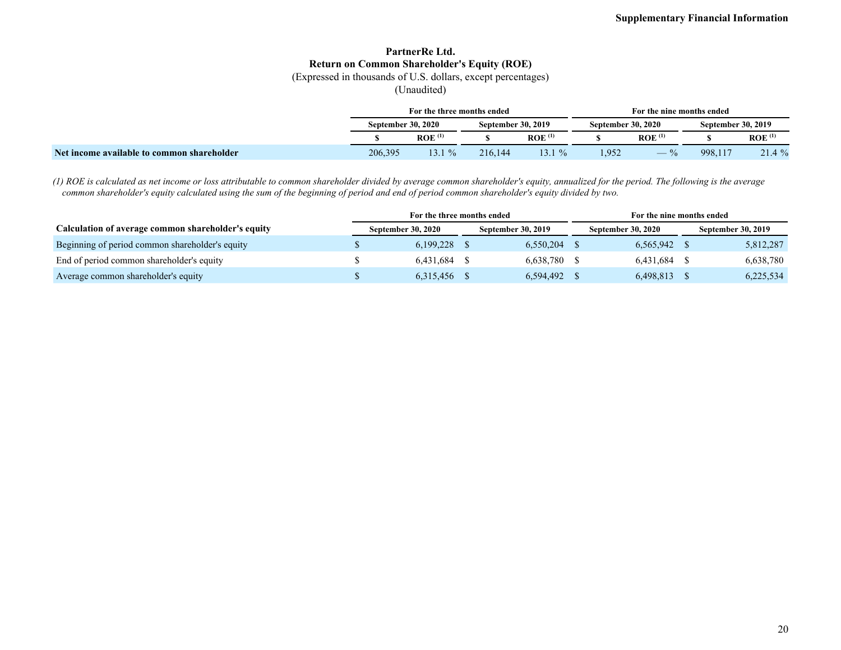### **PartnerRe Ltd. Return on Common Shareholder's Equity (ROE)**

(Expressed in thousands of U.S. dollars, except percentages)

(Unaudited)

|                                            | For the three months ended |                    |                           |                      |                           |                      | For the nine months ended |                      |  |  |  |
|--------------------------------------------|----------------------------|--------------------|---------------------------|----------------------|---------------------------|----------------------|---------------------------|----------------------|--|--|--|
|                                            | <b>September 30, 2020</b>  |                    | <b>September 30, 2019</b> |                      | <b>September 30, 2020</b> |                      | September 30, 2019        |                      |  |  |  |
|                                            |                            | ROE <sup>(1)</sup> |                           | $ROE$ <sup>(1)</sup> |                           | $ROE$ <sup>(1)</sup> |                           | $ROE$ <sup>(1)</sup> |  |  |  |
| Net income available to common shareholder | 206,395                    | $13.1 \%$          | 216.144                   | $13.1\%$             | .952                      |                      | 998,117                   | 21.4 %               |  |  |  |

*(1) ROE is calculated as net income or loss attributable to common shareholder divided by average common shareholder's equity, annualized for the period. The following is the average common shareholder's equity calculated using the sum of the beginning of period and end of period common shareholder's equity divided by two.*

|                                                    | For the three months ended |                           |  |                           | For the nine months ended |                           |  |                           |  |
|----------------------------------------------------|----------------------------|---------------------------|--|---------------------------|---------------------------|---------------------------|--|---------------------------|--|
| Calculation of average common shareholder's equity |                            | <b>September 30, 2020</b> |  | <b>September 30, 2019</b> |                           | <b>September 30, 2020</b> |  | <b>September 30, 2019</b> |  |
| Beginning of period common shareholder's equity    |                            | 6,199,228                 |  | 6.550.204                 |                           | 6,565,942                 |  | 5,812,287                 |  |
| End of period common shareholder's equity          |                            | 6,431,684                 |  | 6.638.780                 |                           | 6,431,684                 |  | 6,638,780                 |  |
| Average common shareholder's equity                |                            | 6,315,456                 |  | 6,594,492                 |                           | 6,498,813                 |  | 6,225,534                 |  |